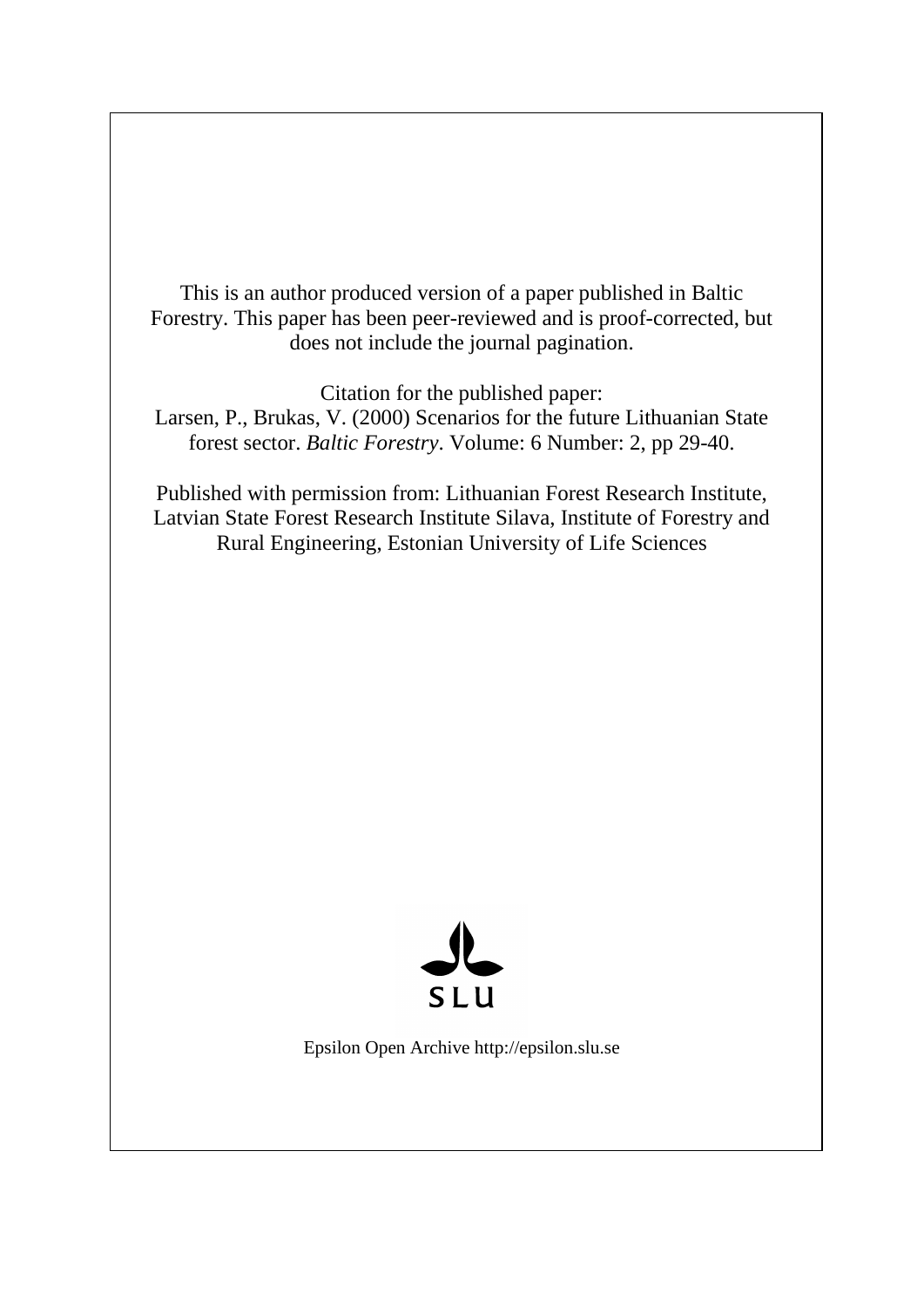This is an author produced version of a paper published in Baltic Forestry. This paper has been peer-reviewed and is proof-corrected, but does not include the journal pagination.

Citation for the published paper: Larsen, P., Brukas, V. (2000) Scenarios for the future Lithuanian State forest sector. *Baltic Forestry*. Volume: 6 Number: 2, pp 29-40.

Published with permission from: Lithuanian Forest Research Institute, Latvian State Forest Research Institute Silava, Institute of Forestry and Rural Engineering, Estonian University of Life Sciences



Epsilon Open Archive http://epsilon.slu.se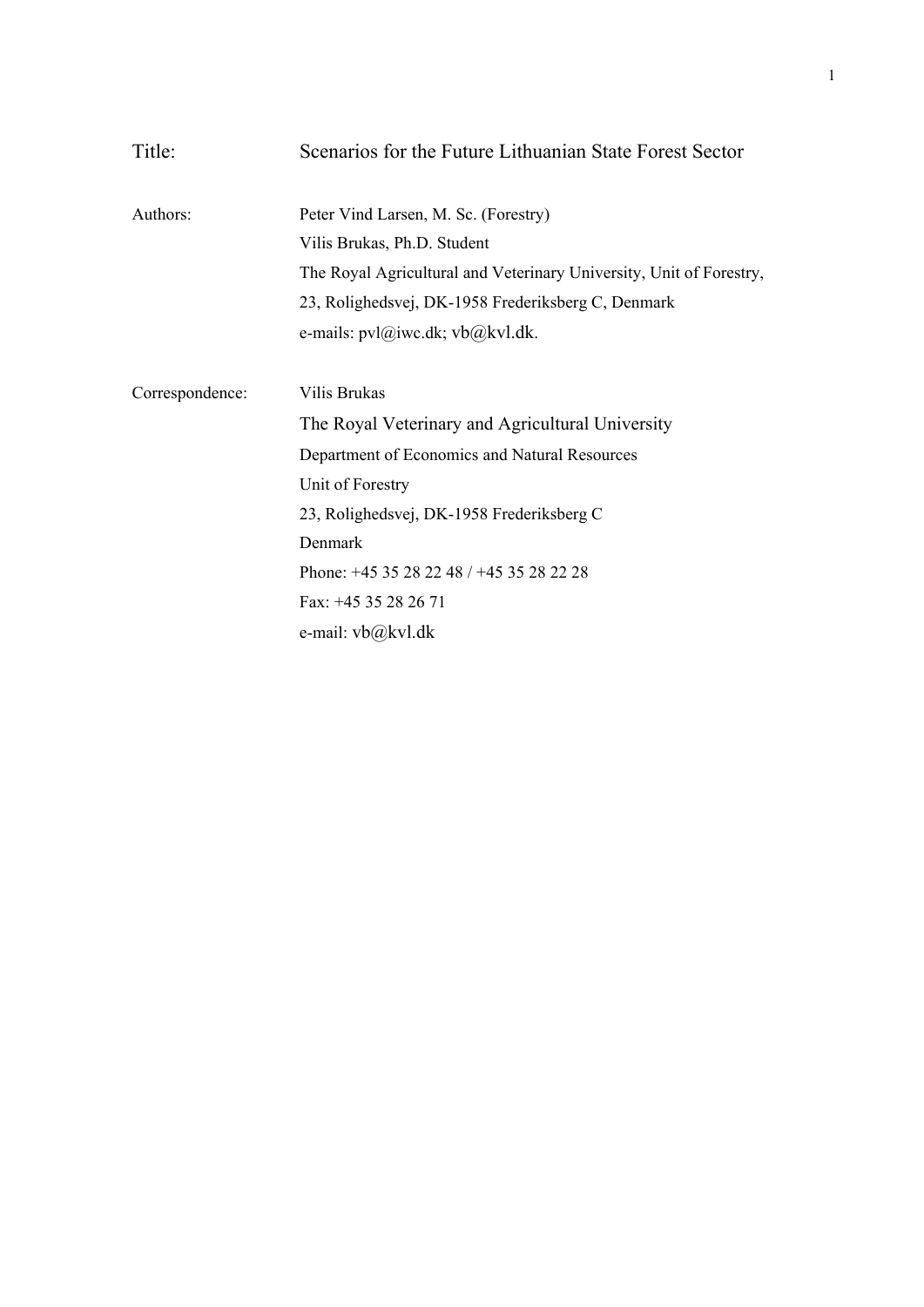| Title:          | Scenarios for the Future Lithuanian State Forest Sector             |  |  |  |
|-----------------|---------------------------------------------------------------------|--|--|--|
| Authors:        | Peter Vind Larsen, M. Sc. (Forestry)                                |  |  |  |
|                 | Vilis Brukas, Ph.D. Student                                         |  |  |  |
|                 | The Royal Agricultural and Veterinary University, Unit of Forestry, |  |  |  |
|                 | 23, Rolighedsvej, DK-1958 Frederiksberg C, Denmark                  |  |  |  |
|                 | e-mails: $pvl(\hat{a})$ iwc.dk; $vb(\hat{a})$ kvl.dk.               |  |  |  |
|                 |                                                                     |  |  |  |
| Correspondence: | Vilis Brukas                                                        |  |  |  |
|                 | The Royal Veterinary and Agricultural University                    |  |  |  |
|                 | Department of Economics and Natural Resources                       |  |  |  |
|                 | Unit of Forestry                                                    |  |  |  |
|                 | 23, Rolighedsvej, DK-1958 Frederiksberg C                           |  |  |  |
|                 | Denmark                                                             |  |  |  |
|                 | Phone: +45 35 28 22 48 / +45 35 28 22 28                            |  |  |  |
|                 | Fax: +45 35 28 26 71                                                |  |  |  |
|                 | e-mail: vb@kvl.dk                                                   |  |  |  |
|                 |                                                                     |  |  |  |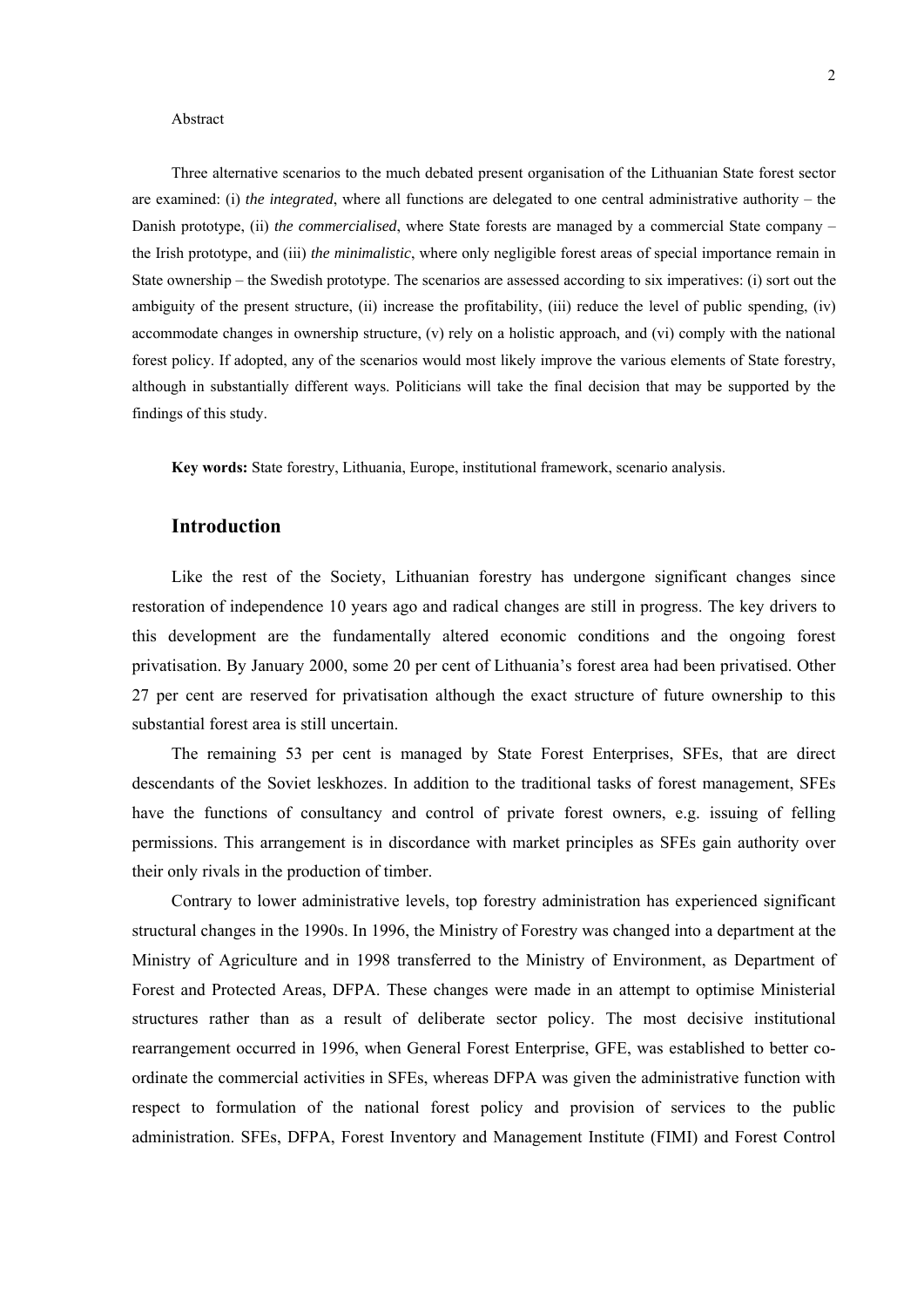#### Abstract

Three alternative scenarios to the much debated present organisation of the Lithuanian State forest sector are examined: (i) *the integrated*, where all functions are delegated to one central administrative authority – the Danish prototype, (ii) *the commercialised*, where State forests are managed by a commercial State company – the Irish prototype, and (iii) *the minimalistic*, where only negligible forest areas of special importance remain in State ownership – the Swedish prototype. The scenarios are assessed according to six imperatives: (i) sort out the ambiguity of the present structure, (ii) increase the profitability, (iii) reduce the level of public spending, (iv) accommodate changes in ownership structure, (v) rely on a holistic approach, and (vi) comply with the national forest policy. If adopted, any of the scenarios would most likely improve the various elements of State forestry, although in substantially different ways. Politicians will take the final decision that may be supported by the findings of this study.

**Key words:** State forestry, Lithuania, Europe, institutional framework, scenario analysis.

# **Introduction**

Like the rest of the Society, Lithuanian forestry has undergone significant changes since restoration of independence 10 years ago and radical changes are still in progress. The key drivers to this development are the fundamentally altered economic conditions and the ongoing forest privatisation. By January 2000, some 20 per cent of Lithuania's forest area had been privatised. Other 27 per cent are reserved for privatisation although the exact structure of future ownership to this substantial forest area is still uncertain.

The remaining 53 per cent is managed by State Forest Enterprises, SFEs, that are direct descendants of the Soviet leskhozes. In addition to the traditional tasks of forest management, SFEs have the functions of consultancy and control of private forest owners, e.g. issuing of felling permissions. This arrangement is in discordance with market principles as SFEs gain authority over their only rivals in the production of timber.

Contrary to lower administrative levels, top forestry administration has experienced significant structural changes in the 1990s. In 1996, the Ministry of Forestry was changed into a department at the Ministry of Agriculture and in 1998 transferred to the Ministry of Environment, as Department of Forest and Protected Areas, DFPA. These changes were made in an attempt to optimise Ministerial structures rather than as a result of deliberate sector policy. The most decisive institutional rearrangement occurred in 1996, when General Forest Enterprise, GFE, was established to better coordinate the commercial activities in SFEs, whereas DFPA was given the administrative function with respect to formulation of the national forest policy and provision of services to the public administration. SFEs, DFPA, Forest Inventory and Management Institute (FIMI) and Forest Control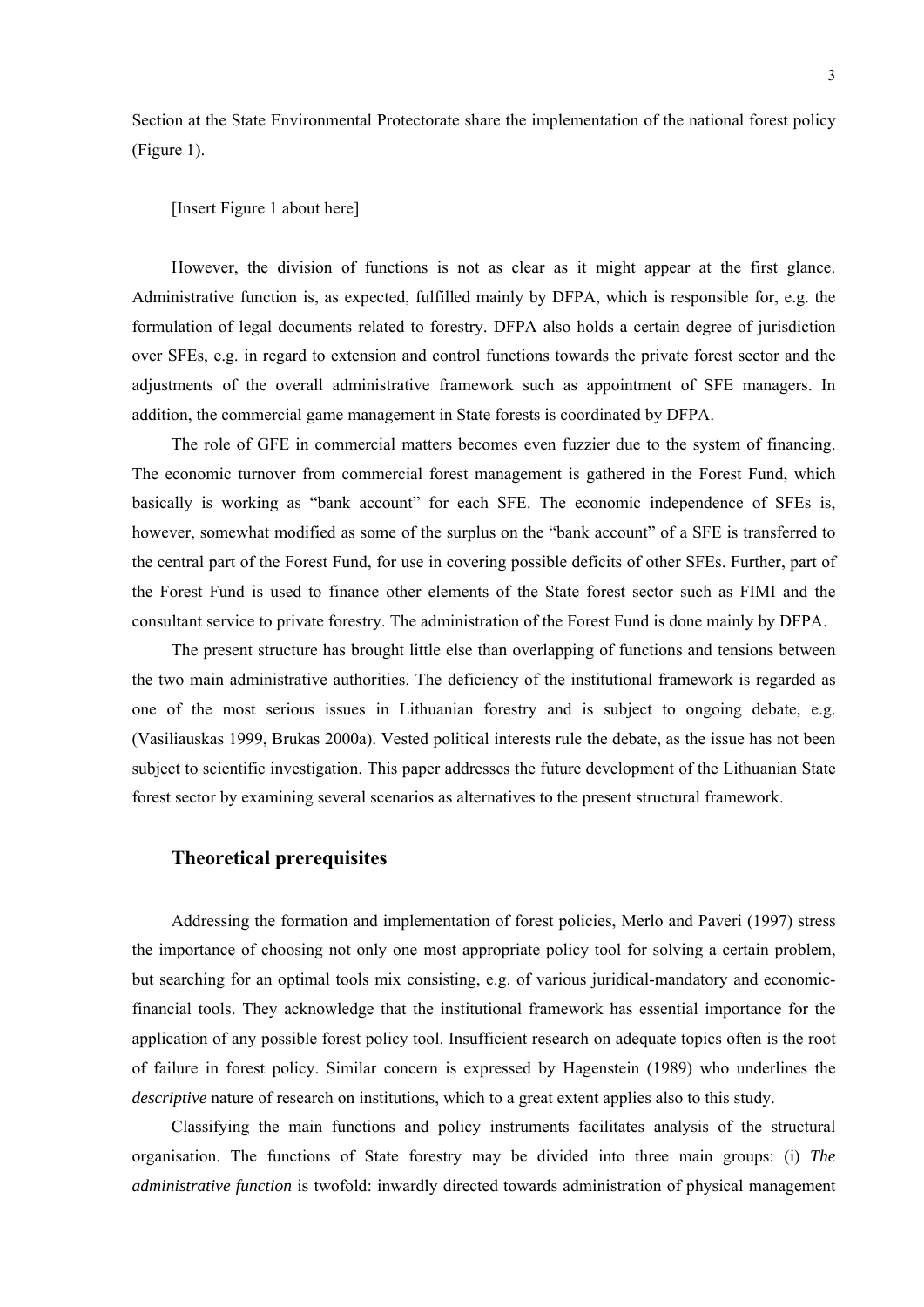Section at the State Environmental Protectorate share the implementation of the national forest policy (Figure 1).

# [Insert Figure 1 about here]

However, the division of functions is not as clear as it might appear at the first glance. Administrative function is, as expected, fulfilled mainly by DFPA, which is responsible for, e.g. the formulation of legal documents related to forestry. DFPA also holds a certain degree of jurisdiction over SFEs, e.g. in regard to extension and control functions towards the private forest sector and the adjustments of the overall administrative framework such as appointment of SFE managers. In addition, the commercial game management in State forests is coordinated by DFPA.

The role of GFE in commercial matters becomes even fuzzier due to the system of financing. The economic turnover from commercial forest management is gathered in the Forest Fund, which basically is working as "bank account" for each SFE. The economic independence of SFEs is, however, somewhat modified as some of the surplus on the "bank account" of a SFE is transferred to the central part of the Forest Fund, for use in covering possible deficits of other SFEs. Further, part of the Forest Fund is used to finance other elements of the State forest sector such as FIMI and the consultant service to private forestry. The administration of the Forest Fund is done mainly by DFPA.

The present structure has brought little else than overlapping of functions and tensions between the two main administrative authorities. The deficiency of the institutional framework is regarded as one of the most serious issues in Lithuanian forestry and is subject to ongoing debate, e.g. (Vasiliauskas 1999, Brukas 2000a). Vested political interests rule the debate, as the issue has not been subject to scientific investigation. This paper addresses the future development of the Lithuanian State forest sector by examining several scenarios as alternatives to the present structural framework.

# **Theoretical prerequisites**

Addressing the formation and implementation of forest policies, Merlo and Paveri (1997) stress the importance of choosing not only one most appropriate policy tool for solving a certain problem, but searching for an optimal tools mix consisting, e.g. of various juridical-mandatory and economicfinancial tools. They acknowledge that the institutional framework has essential importance for the application of any possible forest policy tool. Insufficient research on adequate topics often is the root of failure in forest policy. Similar concern is expressed by Hagenstein (1989) who underlines the *descriptive* nature of research on institutions, which to a great extent applies also to this study.

Classifying the main functions and policy instruments facilitates analysis of the structural organisation. The functions of State forestry may be divided into three main groups: (i) *The administrative function* is twofold: inwardly directed towards administration of physical management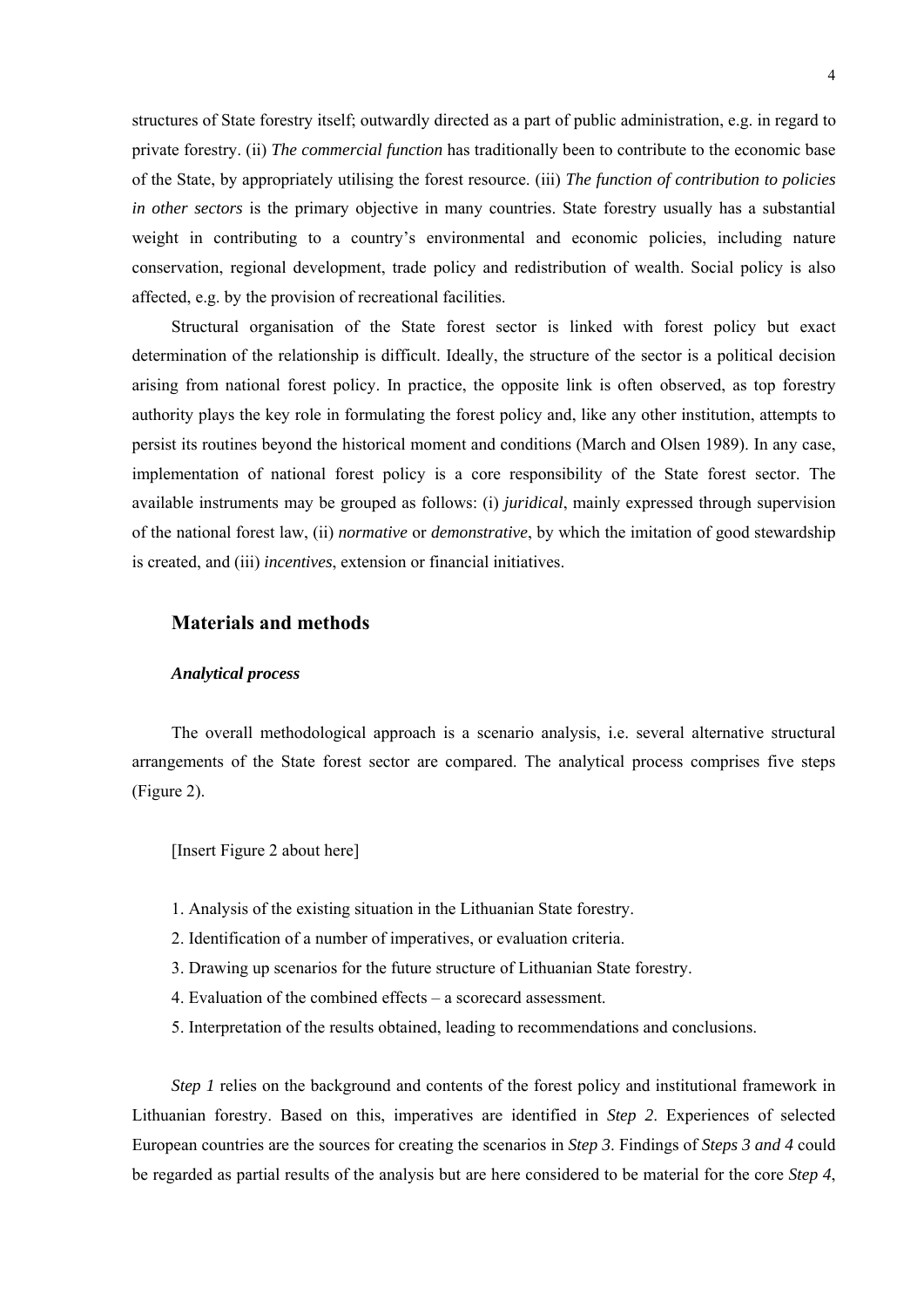structures of State forestry itself; outwardly directed as a part of public administration, e.g. in regard to private forestry. (ii) *The commercial function* has traditionally been to contribute to the economic base of the State, by appropriately utilising the forest resource. (iii) *The function of contribution to policies in other sectors* is the primary objective in many countries. State forestry usually has a substantial weight in contributing to a country's environmental and economic policies, including nature conservation, regional development, trade policy and redistribution of wealth. Social policy is also affected, e.g. by the provision of recreational facilities.

Structural organisation of the State forest sector is linked with forest policy but exact determination of the relationship is difficult. Ideally, the structure of the sector is a political decision arising from national forest policy. In practice, the opposite link is often observed, as top forestry authority plays the key role in formulating the forest policy and, like any other institution, attempts to persist its routines beyond the historical moment and conditions (March and Olsen 1989). In any case, implementation of national forest policy is a core responsibility of the State forest sector. The available instruments may be grouped as follows: (i) *juridical*, mainly expressed through supervision of the national forest law, (ii) *normative* or *demonstrative*, by which the imitation of good stewardship is created, and (iii) *incentives*, extension or financial initiatives.

# **Materials and methods**

#### *Analytical process*

The overall methodological approach is a scenario analysis, i.e. several alternative structural arrangements of the State forest sector are compared. The analytical process comprises five steps (Figure 2).

[Insert Figure 2 about here]

- 1. Analysis of the existing situation in the Lithuanian State forestry.
- 2. Identification of a number of imperatives, or evaluation criteria.
- 3. Drawing up scenarios for the future structure of Lithuanian State forestry.
- 4. Evaluation of the combined effects a scorecard assessment.
- 5. Interpretation of the results obtained, leading to recommendations and conclusions.

*Step 1* relies on the background and contents of the forest policy and institutional framework in Lithuanian forestry. Based on this, imperatives are identified in *Step 2*. Experiences of selected European countries are the sources for creating the scenarios in *Step 3*. Findings of *Steps 3 and 4* could be regarded as partial results of the analysis but are here considered to be material for the core *Step 4*,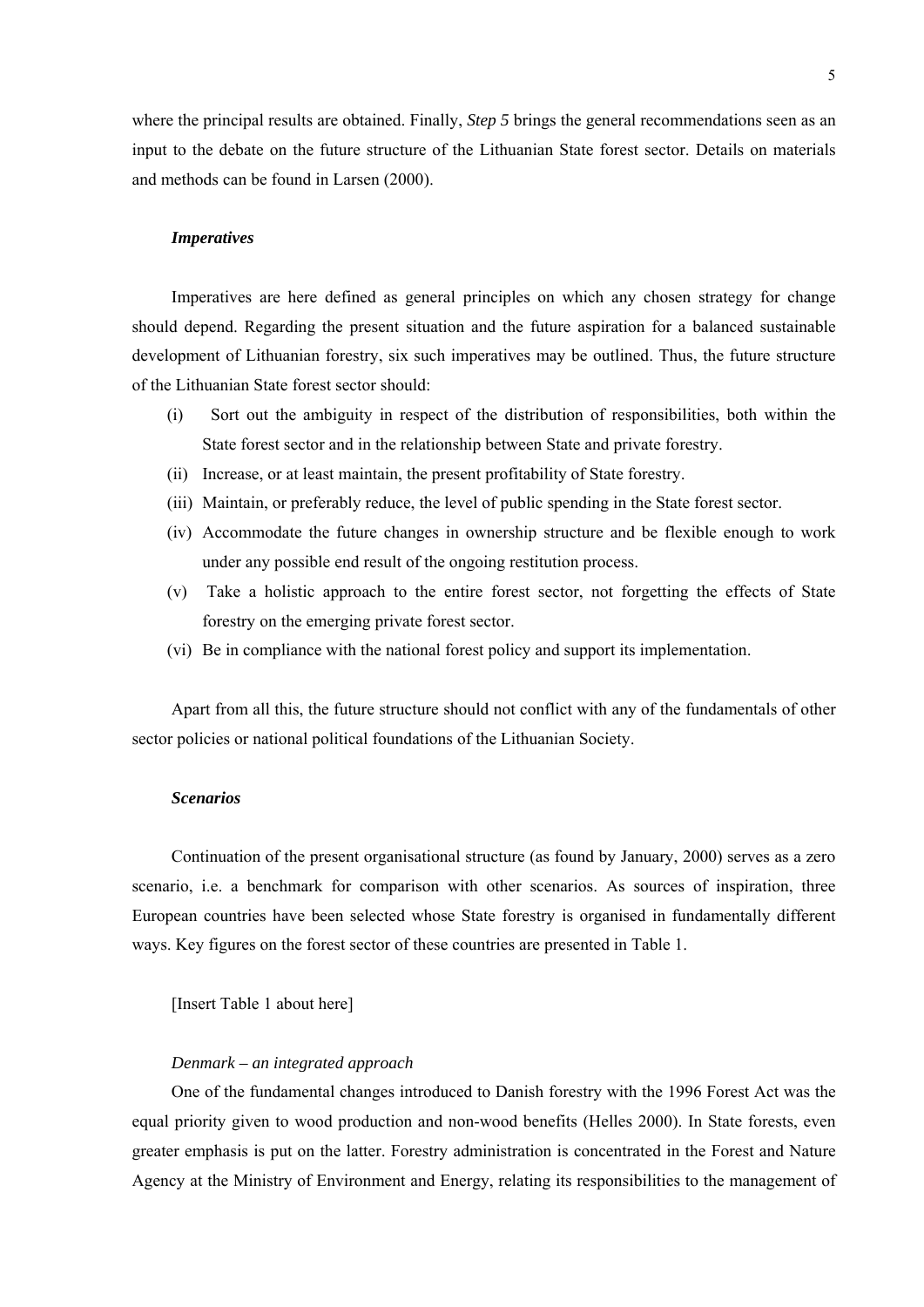where the principal results are obtained. Finally, *Step 5* brings the general recommendations seen as an input to the debate on the future structure of the Lithuanian State forest sector. Details on materials and methods can be found in Larsen (2000).

#### *Imperatives*

Imperatives are here defined as general principles on which any chosen strategy for change should depend. Regarding the present situation and the future aspiration for a balanced sustainable development of Lithuanian forestry, six such imperatives may be outlined. Thus, the future structure of the Lithuanian State forest sector should:

- (i) Sort out the ambiguity in respect of the distribution of responsibilities, both within the State forest sector and in the relationship between State and private forestry.
- (ii) Increase, or at least maintain, the present profitability of State forestry.
- (iii) Maintain, or preferably reduce, the level of public spending in the State forest sector.
- (iv) Accommodate the future changes in ownership structure and be flexible enough to work under any possible end result of the ongoing restitution process.
- (v) Take a holistic approach to the entire forest sector, not forgetting the effects of State forestry on the emerging private forest sector.
- (vi) Be in compliance with the national forest policy and support its implementation.

Apart from all this, the future structure should not conflict with any of the fundamentals of other sector policies or national political foundations of the Lithuanian Society.

## *Scenarios*

Continuation of the present organisational structure (as found by January, 2000) serves as a zero scenario, i.e. a benchmark for comparison with other scenarios. As sources of inspiration, three European countries have been selected whose State forestry is organised in fundamentally different ways. Key figures on the forest sector of these countries are presented in Table 1.

[Insert Table 1 about here]

# *Denmark – an integrated approach*

One of the fundamental changes introduced to Danish forestry with the 1996 Forest Act was the equal priority given to wood production and non-wood benefits (Helles 2000). In State forests, even greater emphasis is put on the latter. Forestry administration is concentrated in the Forest and Nature Agency at the Ministry of Environment and Energy, relating its responsibilities to the management of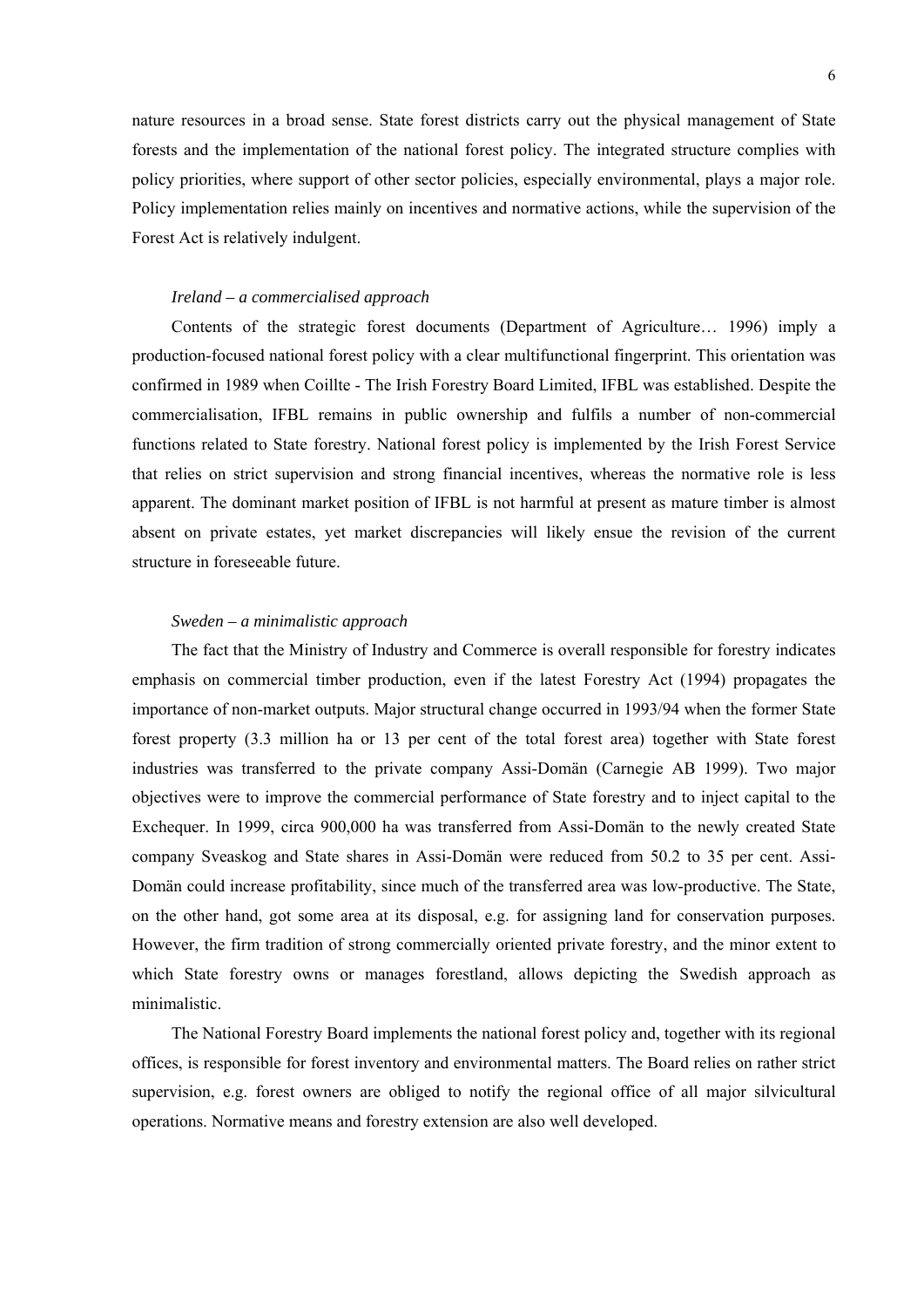nature resources in a broad sense. State forest districts carry out the physical management of State forests and the implementation of the national forest policy. The integrated structure complies with policy priorities, where support of other sector policies, especially environmental, plays a major role. Policy implementation relies mainly on incentives and normative actions, while the supervision of the Forest Act is relatively indulgent.

# *Ireland – a commercialised approach*

Contents of the strategic forest documents (Department of Agriculture… 1996) imply a production-focused national forest policy with a clear multifunctional fingerprint. This orientation was confirmed in 1989 when Coillte - The Irish Forestry Board Limited, IFBL was established. Despite the commercialisation, IFBL remains in public ownership and fulfils a number of non-commercial functions related to State forestry. National forest policy is implemented by the Irish Forest Service that relies on strict supervision and strong financial incentives, whereas the normative role is less apparent. The dominant market position of IFBL is not harmful at present as mature timber is almost absent on private estates, yet market discrepancies will likely ensue the revision of the current structure in foreseeable future.

## *Sweden – a minimalistic approach*

The fact that the Ministry of Industry and Commerce is overall responsible for forestry indicates emphasis on commercial timber production, even if the latest Forestry Act (1994) propagates the importance of non-market outputs. Major structural change occurred in 1993/94 when the former State forest property (3.3 million ha or 13 per cent of the total forest area) together with State forest industries was transferred to the private company Assi-Domän (Carnegie AB 1999). Two major objectives were to improve the commercial performance of State forestry and to inject capital to the Exchequer. In 1999, circa 900,000 ha was transferred from Assi-Domän to the newly created State company Sveaskog and State shares in Assi-Domän were reduced from 50.2 to 35 per cent. Assi-Domän could increase profitability, since much of the transferred area was low-productive. The State, on the other hand, got some area at its disposal, e.g. for assigning land for conservation purposes. However, the firm tradition of strong commercially oriented private forestry, and the minor extent to which State forestry owns or manages forestland, allows depicting the Swedish approach as minimalistic.

The National Forestry Board implements the national forest policy and, together with its regional offices, is responsible for forest inventory and environmental matters. The Board relies on rather strict supervision, e.g. forest owners are obliged to notify the regional office of all major silvicultural operations. Normative means and forestry extension are also well developed.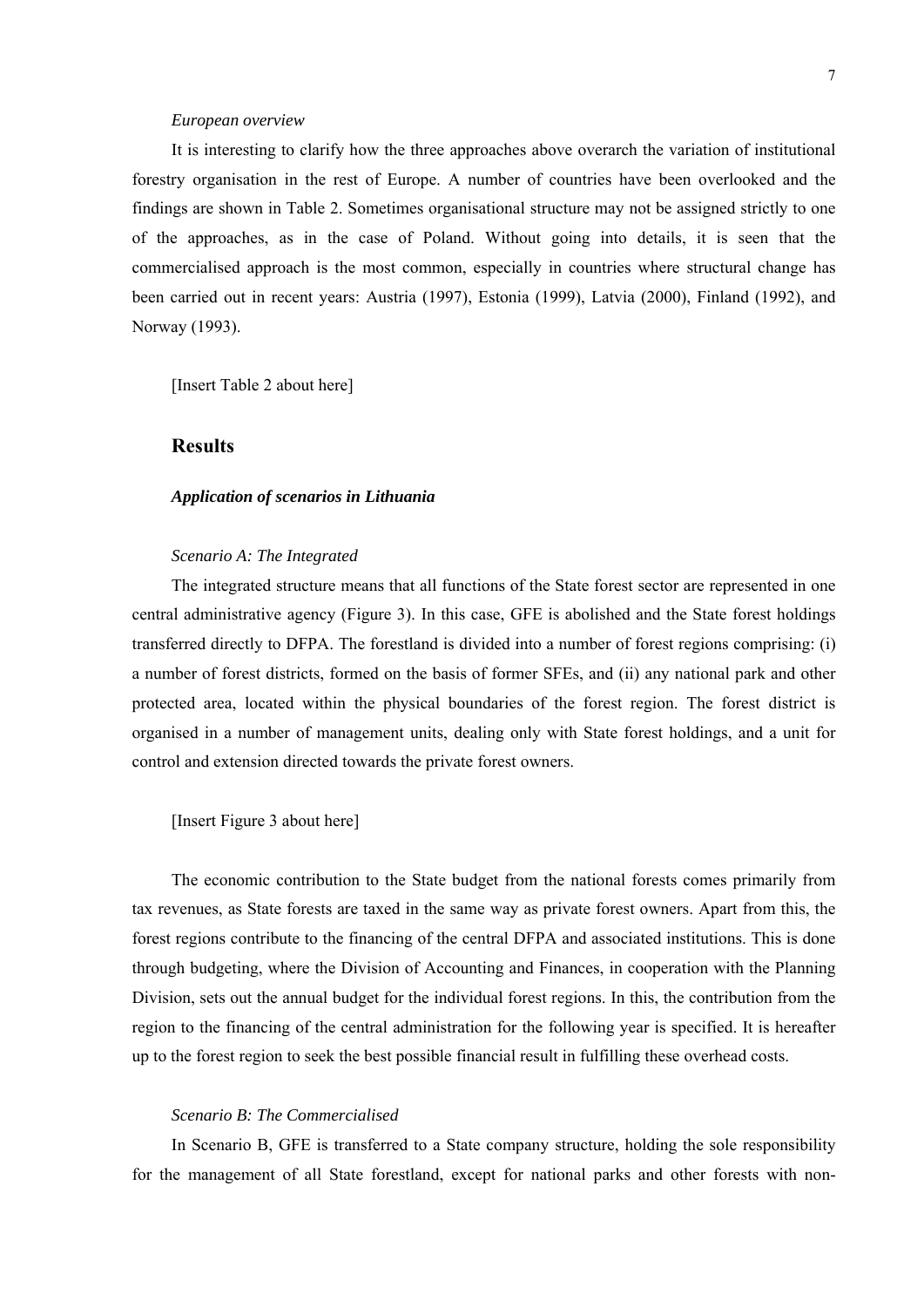#### *European overview*

It is interesting to clarify how the three approaches above overarch the variation of institutional forestry organisation in the rest of Europe. A number of countries have been overlooked and the findings are shown in Table 2. Sometimes organisational structure may not be assigned strictly to one of the approaches, as in the case of Poland. Without going into details, it is seen that the commercialised approach is the most common, especially in countries where structural change has been carried out in recent years: Austria (1997), Estonia (1999), Latvia (2000), Finland (1992), and Norway (1993).

[Insert Table 2 about here]

# **Results**

#### *Application of scenarios in Lithuania*

## *Scenario A: The Integrated*

The integrated structure means that all functions of the State forest sector are represented in one central administrative agency (Figure 3). In this case, GFE is abolished and the State forest holdings transferred directly to DFPA. The forestland is divided into a number of forest regions comprising: (i) a number of forest districts, formed on the basis of former SFEs, and (ii) any national park and other protected area, located within the physical boundaries of the forest region. The forest district is organised in a number of management units, dealing only with State forest holdings, and a unit for control and extension directed towards the private forest owners.

# [Insert Figure 3 about here]

The economic contribution to the State budget from the national forests comes primarily from tax revenues, as State forests are taxed in the same way as private forest owners. Apart from this, the forest regions contribute to the financing of the central DFPA and associated institutions. This is done through budgeting, where the Division of Accounting and Finances, in cooperation with the Planning Division, sets out the annual budget for the individual forest regions. In this, the contribution from the region to the financing of the central administration for the following year is specified. It is hereafter up to the forest region to seek the best possible financial result in fulfilling these overhead costs.

# *Scenario B: The Commercialised*

In Scenario B, GFE is transferred to a State company structure, holding the sole responsibility for the management of all State forestland, except for national parks and other forests with non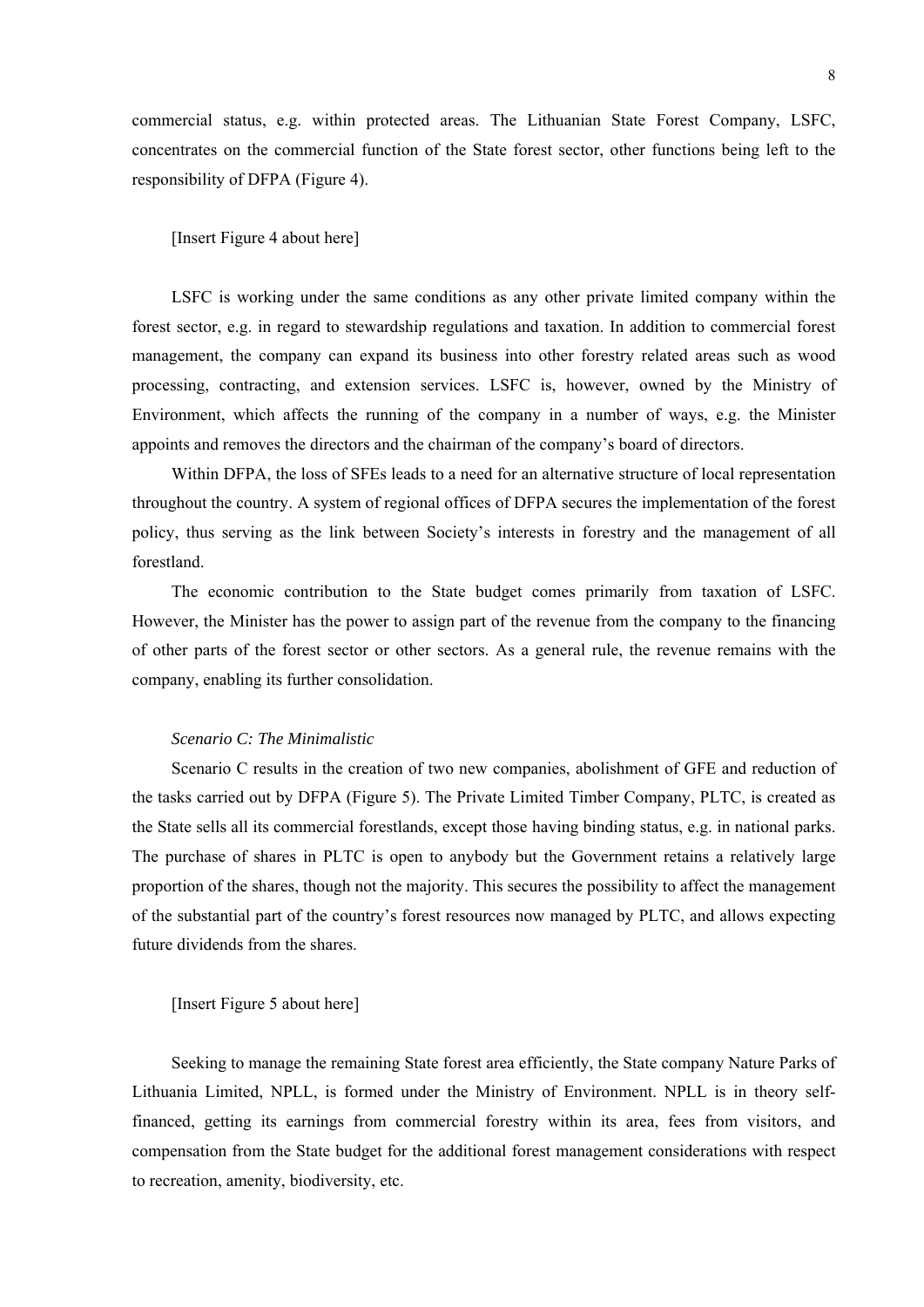commercial status, e.g. within protected areas. The Lithuanian State Forest Company, LSFC, concentrates on the commercial function of the State forest sector, other functions being left to the responsibility of DFPA (Figure 4).

## [Insert Figure 4 about here]

LSFC is working under the same conditions as any other private limited company within the forest sector, e.g. in regard to stewardship regulations and taxation. In addition to commercial forest management, the company can expand its business into other forestry related areas such as wood processing, contracting, and extension services. LSFC is, however, owned by the Ministry of Environment, which affects the running of the company in a number of ways, e.g. the Minister appoints and removes the directors and the chairman of the company's board of directors.

Within DFPA, the loss of SFEs leads to a need for an alternative structure of local representation throughout the country. A system of regional offices of DFPA secures the implementation of the forest policy, thus serving as the link between Society's interests in forestry and the management of all forestland.

The economic contribution to the State budget comes primarily from taxation of LSFC. However, the Minister has the power to assign part of the revenue from the company to the financing of other parts of the forest sector or other sectors. As a general rule, the revenue remains with the company, enabling its further consolidation.

# *Scenario C: The Minimalistic*

Scenario C results in the creation of two new companies, abolishment of GFE and reduction of the tasks carried out by DFPA (Figure 5). The Private Limited Timber Company, PLTC, is created as the State sells all its commercial forestlands, except those having binding status, e.g. in national parks. The purchase of shares in PLTC is open to anybody but the Government retains a relatively large proportion of the shares, though not the majority. This secures the possibility to affect the management of the substantial part of the country's forest resources now managed by PLTC, and allows expecting future dividends from the shares.

## [Insert Figure 5 about here]

Seeking to manage the remaining State forest area efficiently, the State company Nature Parks of Lithuania Limited, NPLL, is formed under the Ministry of Environment. NPLL is in theory selffinanced, getting its earnings from commercial forestry within its area, fees from visitors, and compensation from the State budget for the additional forest management considerations with respect to recreation, amenity, biodiversity, etc.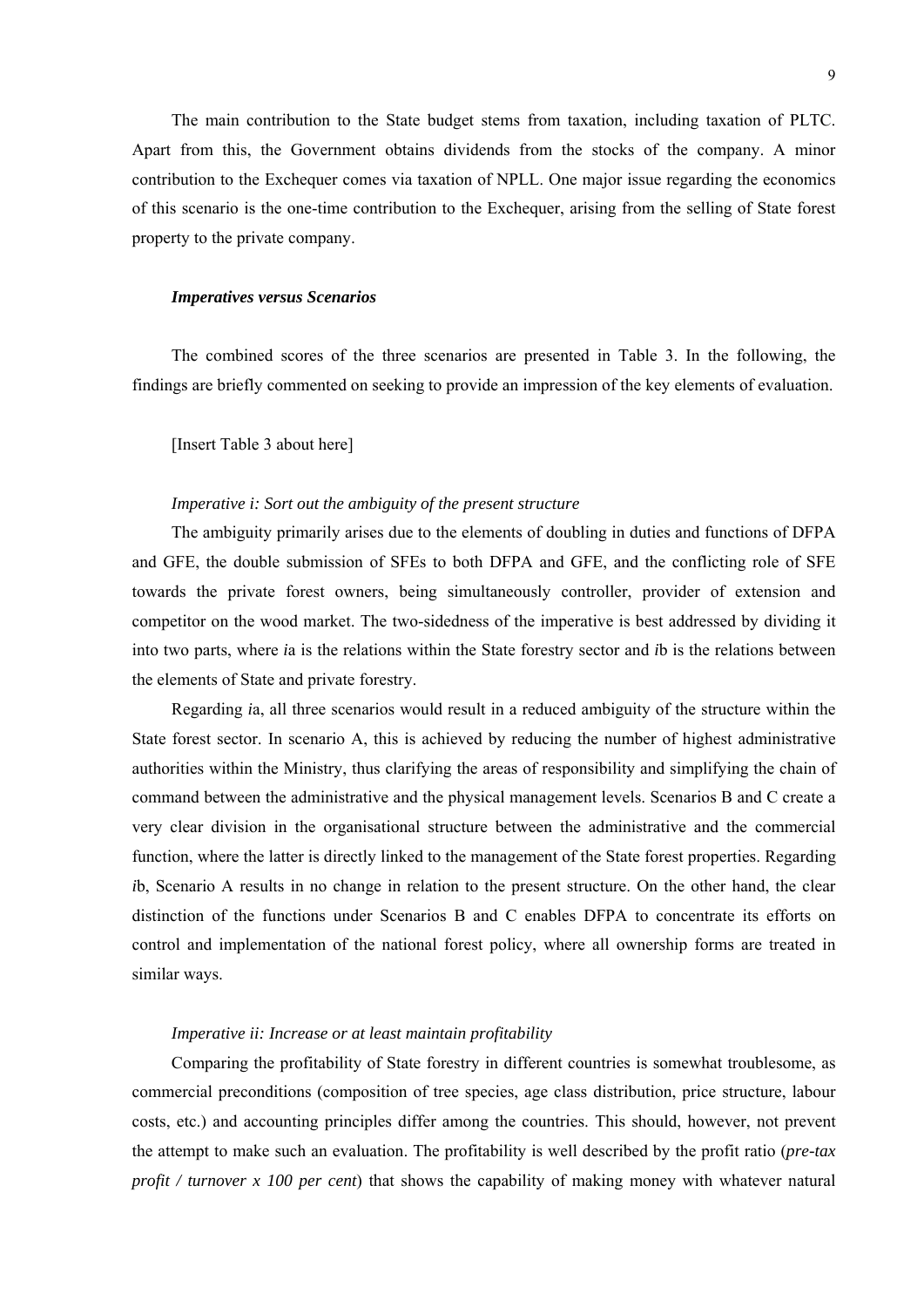The main contribution to the State budget stems from taxation, including taxation of PLTC. Apart from this, the Government obtains dividends from the stocks of the company. A minor contribution to the Exchequer comes via taxation of NPLL. One major issue regarding the economics of this scenario is the one-time contribution to the Exchequer, arising from the selling of State forest property to the private company.

#### *Imperatives versus Scenarios*

The combined scores of the three scenarios are presented in Table 3. In the following, the findings are briefly commented on seeking to provide an impression of the key elements of evaluation.

[Insert Table 3 about here]

#### *Imperative i: Sort out the ambiguity of the present structure*

The ambiguity primarily arises due to the elements of doubling in duties and functions of DFPA and GFE, the double submission of SFEs to both DFPA and GFE, and the conflicting role of SFE towards the private forest owners, being simultaneously controller, provider of extension and competitor on the wood market. The two-sidedness of the imperative is best addressed by dividing it into two parts, where *i*a is the relations within the State forestry sector and *i*b is the relations between the elements of State and private forestry.

Regarding *i*a, all three scenarios would result in a reduced ambiguity of the structure within the State forest sector. In scenario A, this is achieved by reducing the number of highest administrative authorities within the Ministry, thus clarifying the areas of responsibility and simplifying the chain of command between the administrative and the physical management levels. Scenarios B and C create a very clear division in the organisational structure between the administrative and the commercial function, where the latter is directly linked to the management of the State forest properties. Regarding *i*b, Scenario A results in no change in relation to the present structure. On the other hand, the clear distinction of the functions under Scenarios B and C enables DFPA to concentrate its efforts on control and implementation of the national forest policy, where all ownership forms are treated in similar ways.

## *Imperative ii: Increase or at least maintain profitability*

Comparing the profitability of State forestry in different countries is somewhat troublesome, as commercial preconditions (composition of tree species, age class distribution, price structure, labour costs, etc.) and accounting principles differ among the countries. This should, however, not prevent the attempt to make such an evaluation. The profitability is well described by the profit ratio (*pre-tax profit / turnover x 100 per cent*) that shows the capability of making money with whatever natural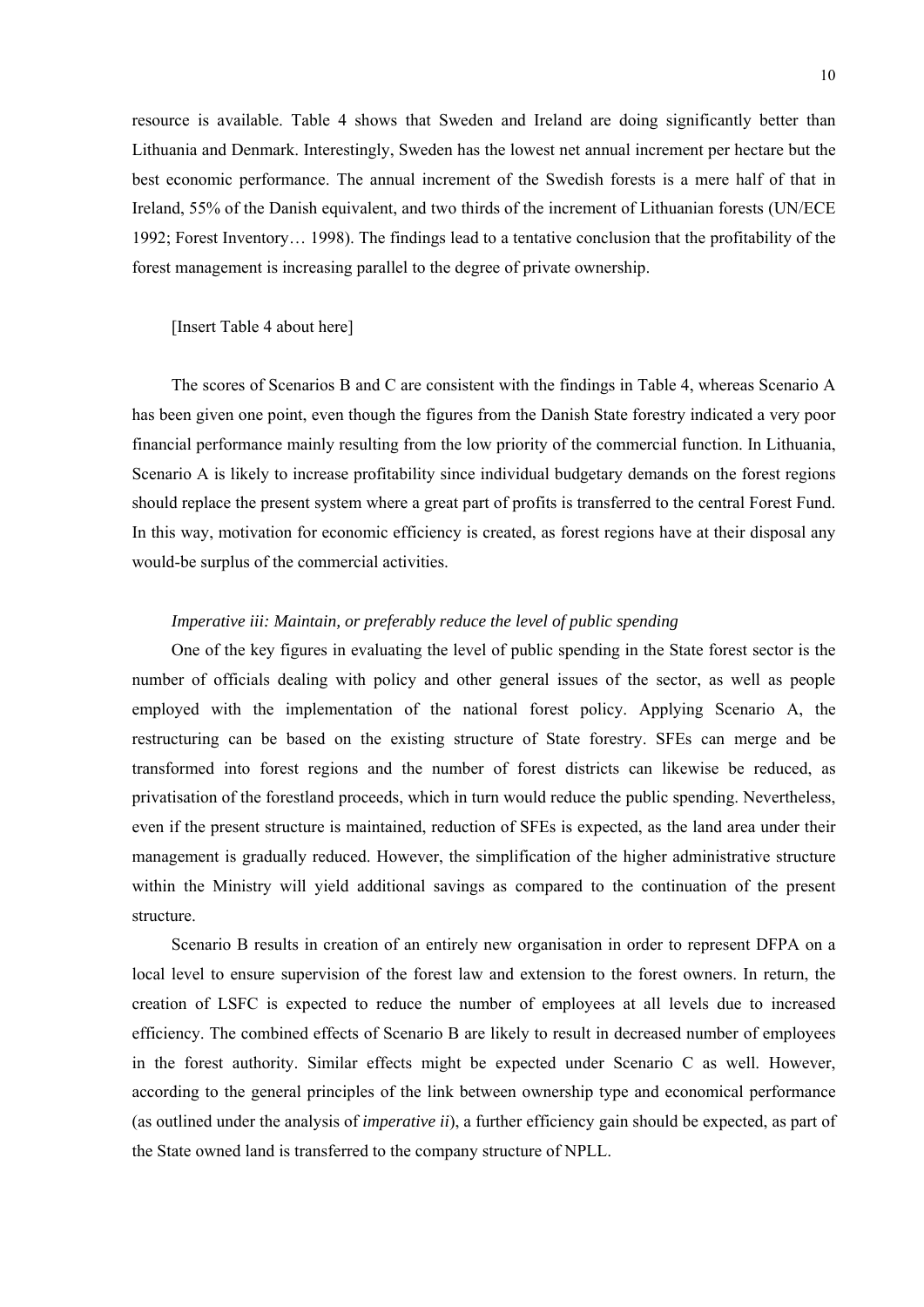resource is available. Table 4 shows that Sweden and Ireland are doing significantly better than Lithuania and Denmark. Interestingly, Sweden has the lowest net annual increment per hectare but the best economic performance. The annual increment of the Swedish forests is a mere half of that in Ireland, 55% of the Danish equivalent, and two thirds of the increment of Lithuanian forests (UN/ECE 1992; Forest Inventory… 1998). The findings lead to a tentative conclusion that the profitability of the forest management is increasing parallel to the degree of private ownership.

#### [Insert Table 4 about here]

The scores of Scenarios B and C are consistent with the findings in Table 4, whereas Scenario A has been given one point, even though the figures from the Danish State forestry indicated a very poor financial performance mainly resulting from the low priority of the commercial function. In Lithuania, Scenario A is likely to increase profitability since individual budgetary demands on the forest regions should replace the present system where a great part of profits is transferred to the central Forest Fund. In this way, motivation for economic efficiency is created, as forest regions have at their disposal any would-be surplus of the commercial activities.

# *Imperative iii: Maintain, or preferably reduce the level of public spending*

One of the key figures in evaluating the level of public spending in the State forest sector is the number of officials dealing with policy and other general issues of the sector, as well as people employed with the implementation of the national forest policy. Applying Scenario A, the restructuring can be based on the existing structure of State forestry. SFEs can merge and be transformed into forest regions and the number of forest districts can likewise be reduced, as privatisation of the forestland proceeds, which in turn would reduce the public spending. Nevertheless, even if the present structure is maintained, reduction of SFEs is expected, as the land area under their management is gradually reduced. However, the simplification of the higher administrative structure within the Ministry will yield additional savings as compared to the continuation of the present structure.

Scenario B results in creation of an entirely new organisation in order to represent DFPA on a local level to ensure supervision of the forest law and extension to the forest owners. In return, the creation of LSFC is expected to reduce the number of employees at all levels due to increased efficiency. The combined effects of Scenario B are likely to result in decreased number of employees in the forest authority. Similar effects might be expected under Scenario C as well. However, according to the general principles of the link between ownership type and economical performance (as outlined under the analysis of *imperative ii*), a further efficiency gain should be expected, as part of the State owned land is transferred to the company structure of NPLL.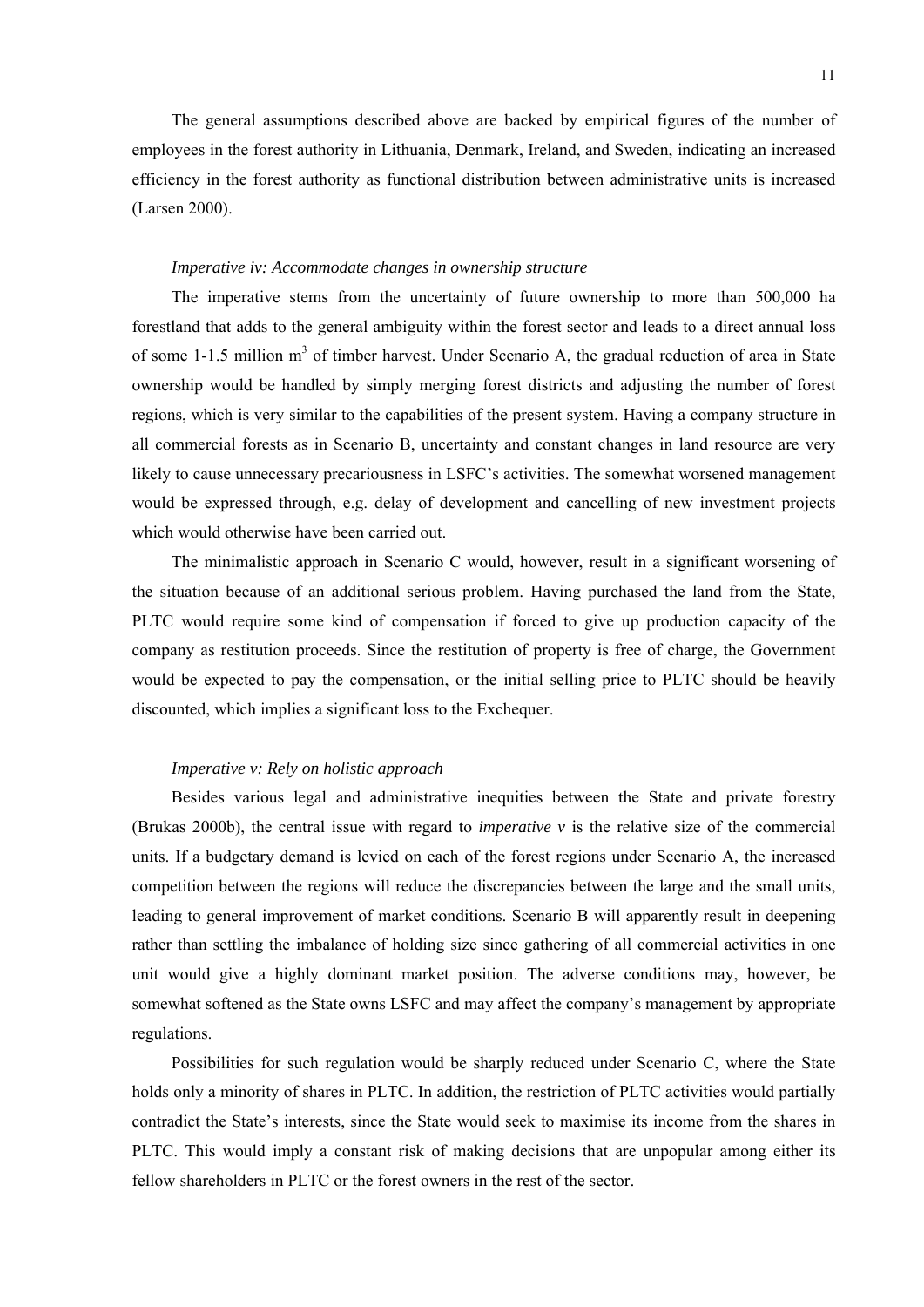The general assumptions described above are backed by empirical figures of the number of employees in the forest authority in Lithuania, Denmark, Ireland, and Sweden, indicating an increased efficiency in the forest authority as functional distribution between administrative units is increased (Larsen 2000).

# *Imperative iv: Accommodate changes in ownership structure*

The imperative stems from the uncertainty of future ownership to more than 500,000 ha forestland that adds to the general ambiguity within the forest sector and leads to a direct annual loss of some 1-1.5 million m<sup>3</sup> of timber harvest. Under Scenario A, the gradual reduction of area in State ownership would be handled by simply merging forest districts and adjusting the number of forest regions, which is very similar to the capabilities of the present system. Having a company structure in all commercial forests as in Scenario B, uncertainty and constant changes in land resource are very likely to cause unnecessary precariousness in LSFC's activities. The somewhat worsened management would be expressed through, e.g. delay of development and cancelling of new investment projects which would otherwise have been carried out.

The minimalistic approach in Scenario C would, however, result in a significant worsening of the situation because of an additional serious problem. Having purchased the land from the State, PLTC would require some kind of compensation if forced to give up production capacity of the company as restitution proceeds. Since the restitution of property is free of charge, the Government would be expected to pay the compensation, or the initial selling price to PLTC should be heavily discounted, which implies a significant loss to the Exchequer.

## *Imperative v: Rely on holistic approach*

Besides various legal and administrative inequities between the State and private forestry (Brukas 2000b), the central issue with regard to *imperative v* is the relative size of the commercial units. If a budgetary demand is levied on each of the forest regions under Scenario A, the increased competition between the regions will reduce the discrepancies between the large and the small units, leading to general improvement of market conditions. Scenario B will apparently result in deepening rather than settling the imbalance of holding size since gathering of all commercial activities in one unit would give a highly dominant market position. The adverse conditions may, however, be somewhat softened as the State owns LSFC and may affect the company's management by appropriate regulations.

Possibilities for such regulation would be sharply reduced under Scenario C, where the State holds only a minority of shares in PLTC. In addition, the restriction of PLTC activities would partially contradict the State's interests, since the State would seek to maximise its income from the shares in PLTC. This would imply a constant risk of making decisions that are unpopular among either its fellow shareholders in PLTC or the forest owners in the rest of the sector.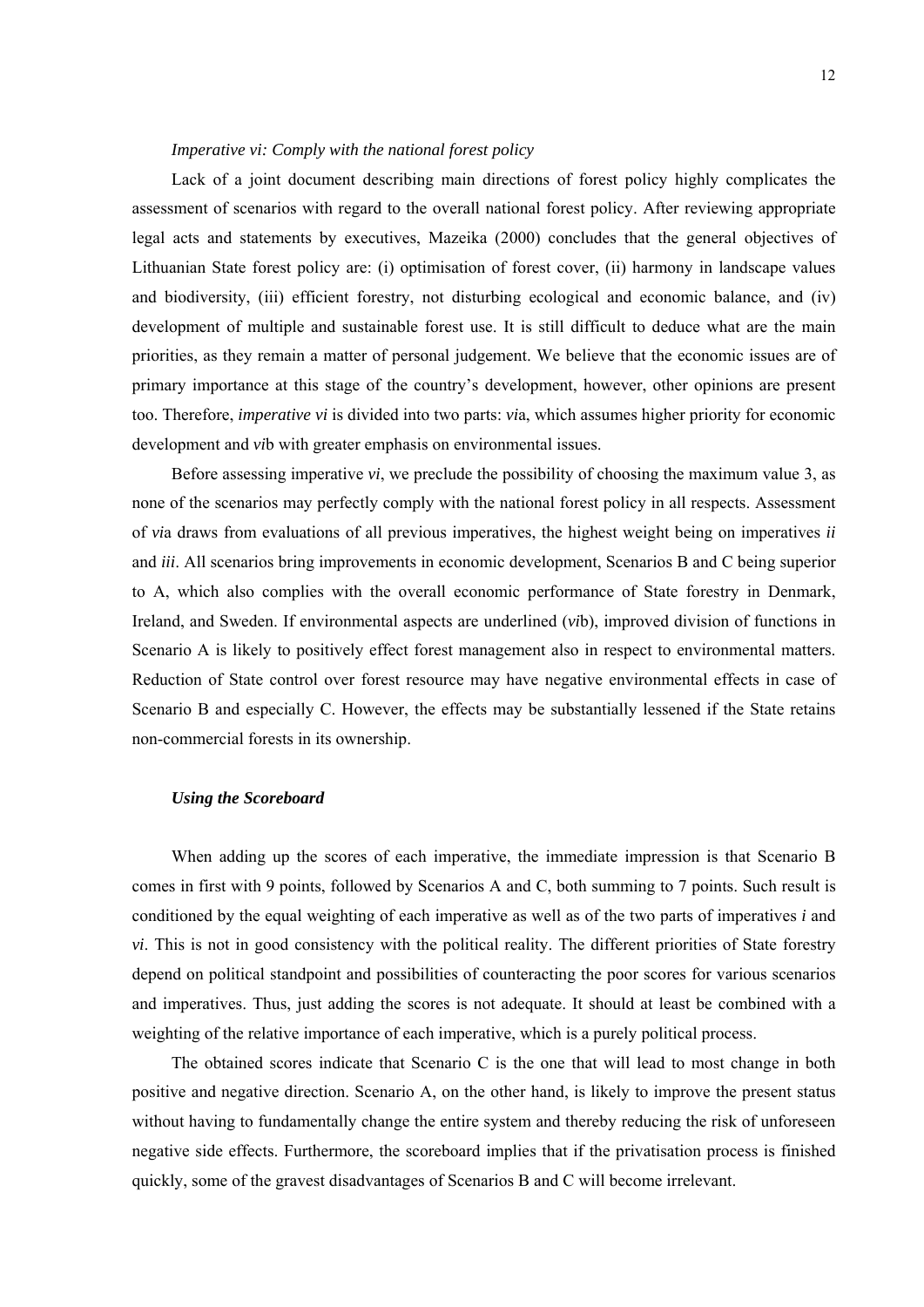## *Imperative vi: Comply with the national forest policy*

Lack of a joint document describing main directions of forest policy highly complicates the assessment of scenarios with regard to the overall national forest policy. After reviewing appropriate legal acts and statements by executives, Mazeika (2000) concludes that the general objectives of Lithuanian State forest policy are: (i) optimisation of forest cover, (ii) harmony in landscape values and biodiversity, (iii) efficient forestry, not disturbing ecological and economic balance, and (iv) development of multiple and sustainable forest use. It is still difficult to deduce what are the main priorities, as they remain a matter of personal judgement. We believe that the economic issues are of primary importance at this stage of the country's development, however, other opinions are present too. Therefore, *imperative vi* is divided into two parts: *vi*a, which assumes higher priority for economic development and *vi*b with greater emphasis on environmental issues.

Before assessing imperative *vi*, we preclude the possibility of choosing the maximum value 3, as none of the scenarios may perfectly comply with the national forest policy in all respects. Assessment of *vi*a draws from evaluations of all previous imperatives, the highest weight being on imperatives *ii* and *iii*. All scenarios bring improvements in economic development, Scenarios B and C being superior to A, which also complies with the overall economic performance of State forestry in Denmark, Ireland, and Sweden. If environmental aspects are underlined (*vi*b), improved division of functions in Scenario A is likely to positively effect forest management also in respect to environmental matters. Reduction of State control over forest resource may have negative environmental effects in case of Scenario B and especially C. However, the effects may be substantially lessened if the State retains non-commercial forests in its ownership.

## *Using the Scoreboard*

When adding up the scores of each imperative, the immediate impression is that Scenario B comes in first with 9 points, followed by Scenarios A and C, both summing to 7 points. Such result is conditioned by the equal weighting of each imperative as well as of the two parts of imperatives *i* and *vi*. This is not in good consistency with the political reality. The different priorities of State forestry depend on political standpoint and possibilities of counteracting the poor scores for various scenarios and imperatives. Thus, just adding the scores is not adequate. It should at least be combined with a weighting of the relative importance of each imperative, which is a purely political process.

The obtained scores indicate that Scenario C is the one that will lead to most change in both positive and negative direction. Scenario A, on the other hand, is likely to improve the present status without having to fundamentally change the entire system and thereby reducing the risk of unforeseen negative side effects. Furthermore, the scoreboard implies that if the privatisation process is finished quickly, some of the gravest disadvantages of Scenarios B and C will become irrelevant.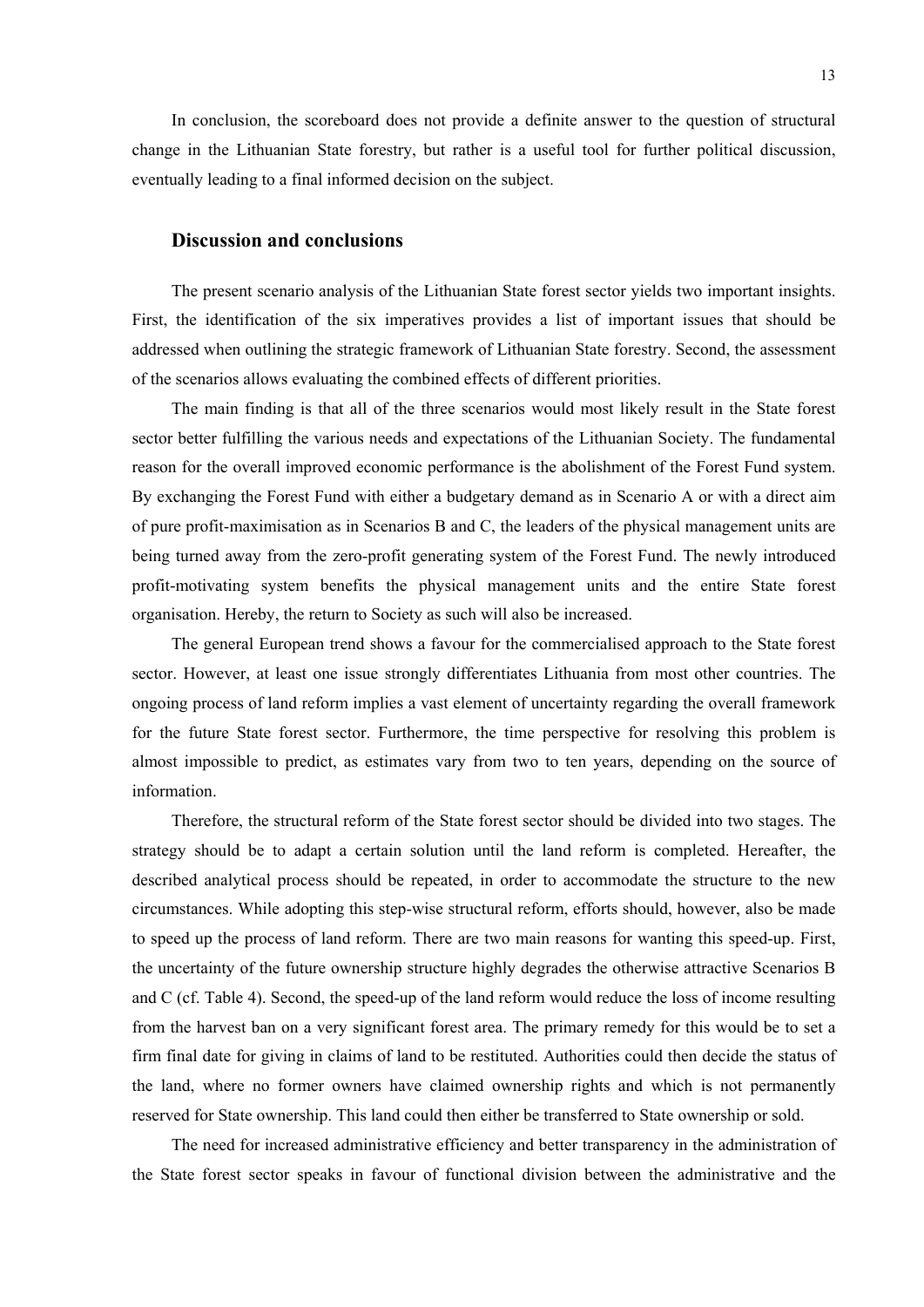In conclusion, the scoreboard does not provide a definite answer to the question of structural change in the Lithuanian State forestry, but rather is a useful tool for further political discussion, eventually leading to a final informed decision on the subject.

# **Discussion and conclusions**

The present scenario analysis of the Lithuanian State forest sector yields two important insights. First, the identification of the six imperatives provides a list of important issues that should be addressed when outlining the strategic framework of Lithuanian State forestry. Second, the assessment of the scenarios allows evaluating the combined effects of different priorities.

The main finding is that all of the three scenarios would most likely result in the State forest sector better fulfilling the various needs and expectations of the Lithuanian Society. The fundamental reason for the overall improved economic performance is the abolishment of the Forest Fund system. By exchanging the Forest Fund with either a budgetary demand as in Scenario A or with a direct aim of pure profit-maximisation as in Scenarios B and C, the leaders of the physical management units are being turned away from the zero-profit generating system of the Forest Fund. The newly introduced profit-motivating system benefits the physical management units and the entire State forest organisation. Hereby, the return to Society as such will also be increased.

The general European trend shows a favour for the commercialised approach to the State forest sector. However, at least one issue strongly differentiates Lithuania from most other countries. The ongoing process of land reform implies a vast element of uncertainty regarding the overall framework for the future State forest sector. Furthermore, the time perspective for resolving this problem is almost impossible to predict, as estimates vary from two to ten years, depending on the source of information.

Therefore, the structural reform of the State forest sector should be divided into two stages. The strategy should be to adapt a certain solution until the land reform is completed. Hereafter, the described analytical process should be repeated, in order to accommodate the structure to the new circumstances. While adopting this step-wise structural reform, efforts should, however, also be made to speed up the process of land reform. There are two main reasons for wanting this speed-up. First, the uncertainty of the future ownership structure highly degrades the otherwise attractive Scenarios B and C (cf. Table 4). Second, the speed-up of the land reform would reduce the loss of income resulting from the harvest ban on a very significant forest area. The primary remedy for this would be to set a firm final date for giving in claims of land to be restituted. Authorities could then decide the status of the land, where no former owners have claimed ownership rights and which is not permanently reserved for State ownership. This land could then either be transferred to State ownership or sold.

The need for increased administrative efficiency and better transparency in the administration of the State forest sector speaks in favour of functional division between the administrative and the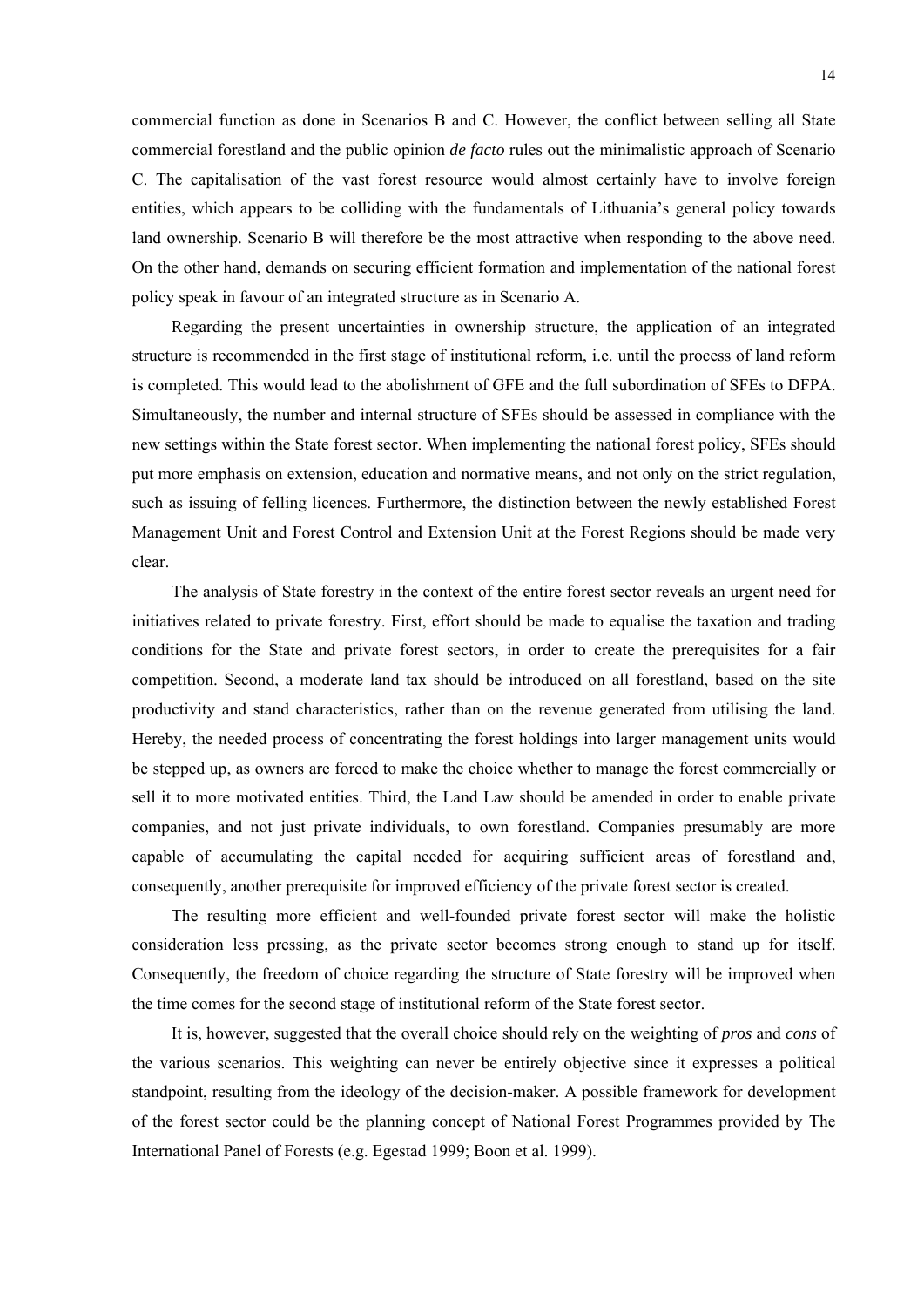commercial function as done in Scenarios B and C. However, the conflict between selling all State commercial forestland and the public opinion *de facto* rules out the minimalistic approach of Scenario C. The capitalisation of the vast forest resource would almost certainly have to involve foreign entities, which appears to be colliding with the fundamentals of Lithuania's general policy towards land ownership. Scenario B will therefore be the most attractive when responding to the above need. On the other hand, demands on securing efficient formation and implementation of the national forest policy speak in favour of an integrated structure as in Scenario A.

Regarding the present uncertainties in ownership structure, the application of an integrated structure is recommended in the first stage of institutional reform, i.e. until the process of land reform is completed. This would lead to the abolishment of GFE and the full subordination of SFEs to DFPA. Simultaneously, the number and internal structure of SFEs should be assessed in compliance with the new settings within the State forest sector. When implementing the national forest policy, SFEs should put more emphasis on extension, education and normative means, and not only on the strict regulation, such as issuing of felling licences. Furthermore, the distinction between the newly established Forest Management Unit and Forest Control and Extension Unit at the Forest Regions should be made very clear.

The analysis of State forestry in the context of the entire forest sector reveals an urgent need for initiatives related to private forestry. First, effort should be made to equalise the taxation and trading conditions for the State and private forest sectors, in order to create the prerequisites for a fair competition. Second, a moderate land tax should be introduced on all forestland, based on the site productivity and stand characteristics, rather than on the revenue generated from utilising the land. Hereby, the needed process of concentrating the forest holdings into larger management units would be stepped up, as owners are forced to make the choice whether to manage the forest commercially or sell it to more motivated entities. Third, the Land Law should be amended in order to enable private companies, and not just private individuals, to own forestland. Companies presumably are more capable of accumulating the capital needed for acquiring sufficient areas of forestland and, consequently, another prerequisite for improved efficiency of the private forest sector is created.

The resulting more efficient and well-founded private forest sector will make the holistic consideration less pressing, as the private sector becomes strong enough to stand up for itself. Consequently, the freedom of choice regarding the structure of State forestry will be improved when the time comes for the second stage of institutional reform of the State forest sector.

It is, however, suggested that the overall choice should rely on the weighting of *pros* and *cons* of the various scenarios. This weighting can never be entirely objective since it expresses a political standpoint, resulting from the ideology of the decision-maker. A possible framework for development of the forest sector could be the planning concept of National Forest Programmes provided by The International Panel of Forests (e.g. Egestad 1999; Boon et al. 1999).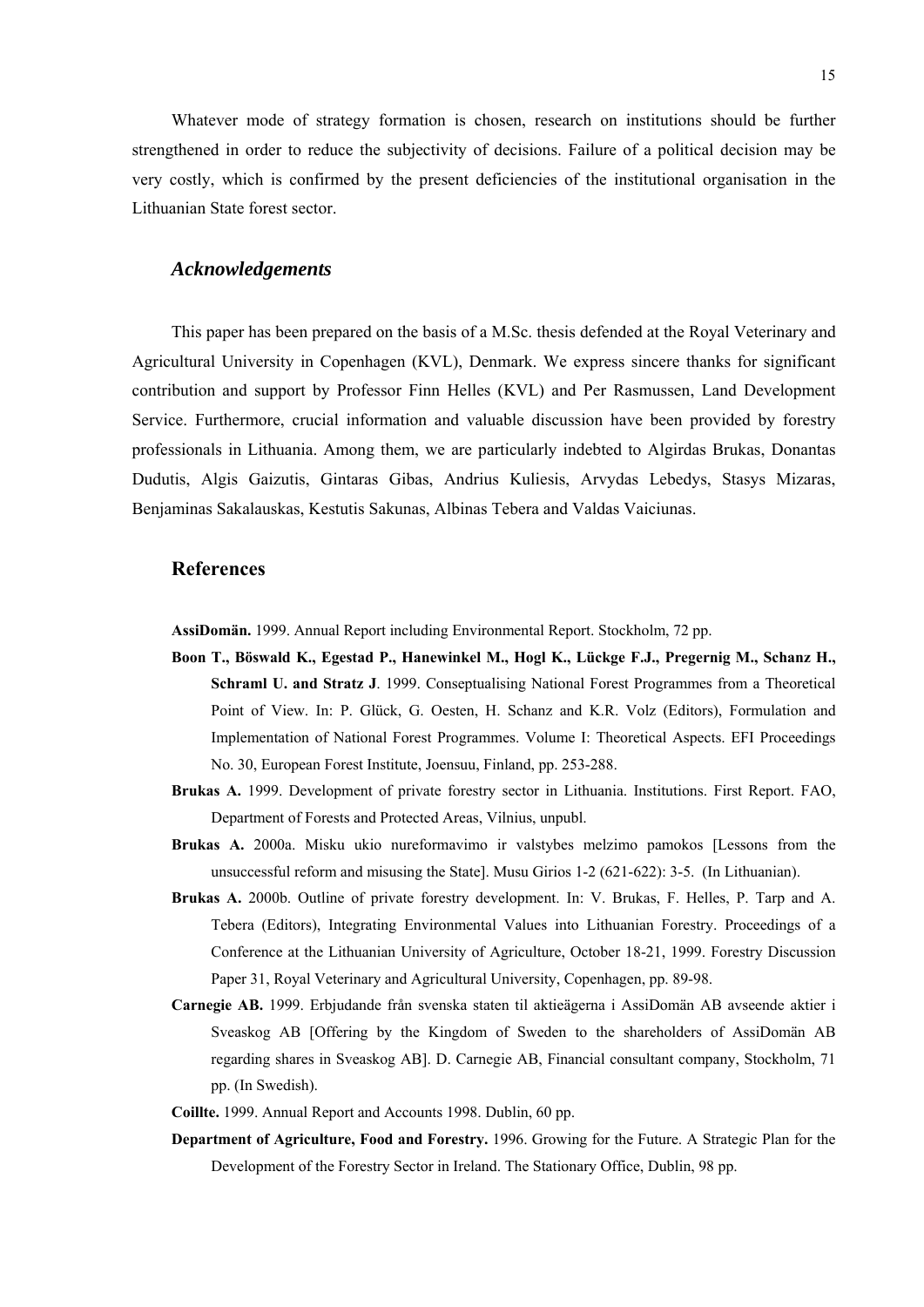Whatever mode of strategy formation is chosen, research on institutions should be further strengthened in order to reduce the subjectivity of decisions. Failure of a political decision may be very costly, which is confirmed by the present deficiencies of the institutional organisation in the Lithuanian State forest sector.

# *Acknowledgements*

This paper has been prepared on the basis of a M.Sc. thesis defended at the Royal Veterinary and Agricultural University in Copenhagen (KVL), Denmark. We express sincere thanks for significant contribution and support by Professor Finn Helles (KVL) and Per Rasmussen, Land Development Service. Furthermore, crucial information and valuable discussion have been provided by forestry professionals in Lithuania. Among them, we are particularly indebted to Algirdas Brukas, Donantas Dudutis, Algis Gaizutis, Gintaras Gibas, Andrius Kuliesis, Arvydas Lebedys, Stasys Mizaras, Benjaminas Sakalauskas, Kestutis Sakunas, Albinas Tebera and Valdas Vaiciunas.

# **References**

**AssiDomän.** 1999. Annual Report including Environmental Report. Stockholm, 72 pp.

- **Boon T., Böswald K., Egestad P., Hanewinkel M., Hogl K., Lückge F.J., Pregernig M., Schanz H., Schraml U. and Stratz J**. 1999. Conseptualising National Forest Programmes from a Theoretical Point of View. In: P. Glück, G. Oesten, H. Schanz and K.R. Volz (Editors), Formulation and Implementation of National Forest Programmes. Volume I: Theoretical Aspects. EFI Proceedings No. 30, European Forest Institute, Joensuu, Finland, pp. 253-288.
- **Brukas A.** 1999. Development of private forestry sector in Lithuania. Institutions. First Report. FAO, Department of Forests and Protected Areas, Vilnius, unpubl.
- **Brukas A.** 2000a. Misku ukio nureformavimo ir valstybes melzimo pamokos [Lessons from the unsuccessful reform and misusing the State]. Musu Girios 1-2 (621-622): 3-5. (In Lithuanian).
- **Brukas A.** 2000b. Outline of private forestry development. In: V. Brukas, F. Helles, P. Tarp and A. Tebera (Editors), Integrating Environmental Values into Lithuanian Forestry. Proceedings of a Conference at the Lithuanian University of Agriculture, October 18-21, 1999. Forestry Discussion Paper 31, Royal Veterinary and Agricultural University, Copenhagen, pp. 89-98.
- **Carnegie AB.** 1999. Erbjudande från svenska staten til aktieägerna i AssiDomän AB avseende aktier i Sveaskog AB [Offering by the Kingdom of Sweden to the shareholders of AssiDomän AB regarding shares in Sveaskog AB]. D. Carnegie AB, Financial consultant company, Stockholm, 71 pp. (In Swedish).
- **Coillte.** 1999. Annual Report and Accounts 1998. Dublin, 60 pp.
- **Department of Agriculture, Food and Forestry.** 1996. Growing for the Future. A Strategic Plan for the Development of the Forestry Sector in Ireland. The Stationary Office, Dublin, 98 pp.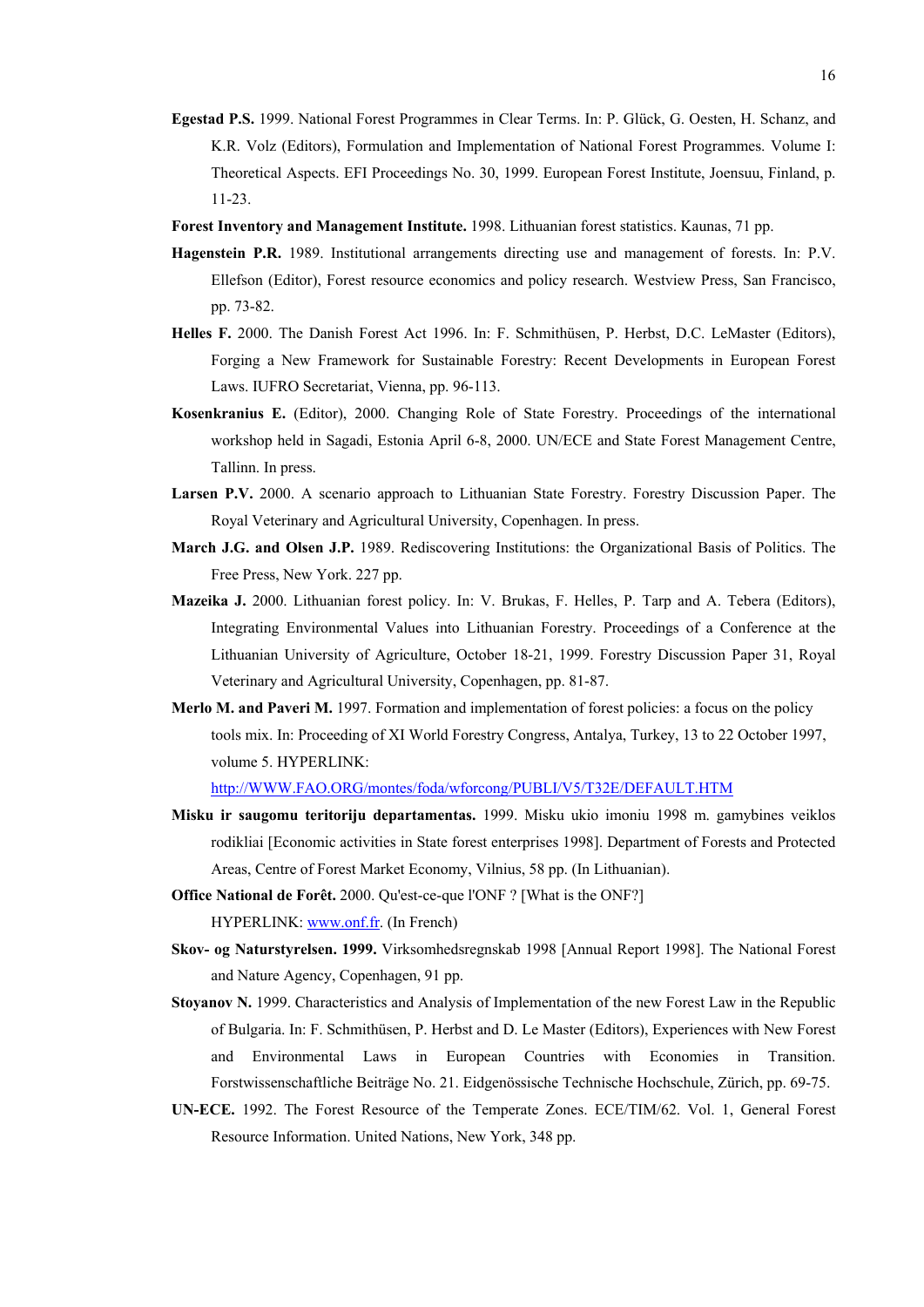- **Egestad P.S.** 1999. National Forest Programmes in Clear Terms. In: P. Glück, G. Oesten, H. Schanz, and K.R. Volz (Editors), Formulation and Implementation of National Forest Programmes. Volume I: Theoretical Aspects. EFI Proceedings No. 30, 1999. European Forest Institute, Joensuu, Finland, p. 11-23.
- **Forest Inventory and Management Institute.** 1998. Lithuanian forest statistics. Kaunas, 71 pp.
- **Hagenstein P.R.** 1989. Institutional arrangements directing use and management of forests. In: P.V. Ellefson (Editor), Forest resource economics and policy research. Westview Press, San Francisco, pp. 73-82.
- **Helles F.** 2000. The Danish Forest Act 1996. In: F. Schmithüsen, P. Herbst, D.C. LeMaster (Editors), Forging a New Framework for Sustainable Forestry: Recent Developments in European Forest Laws. IUFRO Secretariat, Vienna, pp. 96-113.
- **Kosenkranius E.** (Editor), 2000. Changing Role of State Forestry. Proceedings of the international workshop held in Sagadi, Estonia April 6-8, 2000. UN/ECE and State Forest Management Centre, Tallinn. In press.
- **Larsen P.V.** 2000. A scenario approach to Lithuanian State Forestry. Forestry Discussion Paper. The Royal Veterinary and Agricultural University, Copenhagen. In press.
- **March J.G. and Olsen J.P.** 1989. Rediscovering Institutions: the Organizational Basis of Politics. The Free Press, New York. 227 pp.
- **Mazeika J.** 2000. Lithuanian forest policy. In: V. Brukas, F. Helles, P. Tarp and A. Tebera (Editors), Integrating Environmental Values into Lithuanian Forestry. Proceedings of a Conference at the Lithuanian University of Agriculture, October 18-21, 1999. Forestry Discussion Paper 31, Royal Veterinary and Agricultural University, Copenhagen, pp. 81-87.
- **Merlo M. and Paveri M.** 1997. Formation and implementation of forest policies: a focus on the policy tools mix. In: Proceeding of XI World Forestry Congress, Antalya, Turkey, 13 to 22 October 1997, volume 5. HYPERLINK:

http://WWW.FAO.ORG/montes/foda/wforcong/PUBLI/V5/T32E/DEFAULT.HTM

- **Misku ir saugomu teritoriju departamentas.** 1999. Misku ukio imoniu 1998 m. gamybines veiklos rodikliai [Economic activities in State forest enterprises 1998]. Department of Forests and Protected Areas, Centre of Forest Market Economy, Vilnius, 58 pp. (In Lithuanian).
- **Office National de Forêt.** 2000. Qu'est-ce-que l'ONF ? [What is the ONF?] HYPERLINK: www.onf.fr. (In French)
- **Skov- og Naturstyrelsen. 1999.** Virksomhedsregnskab 1998 [Annual Report 1998]. The National Forest and Nature Agency, Copenhagen, 91 pp.
- **Stoyanov N.** 1999. Characteristics and Analysis of Implementation of the new Forest Law in the Republic of Bulgaria. In: F. Schmithüsen, P. Herbst and D. Le Master (Editors), Experiences with New Forest and Environmental Laws in European Countries with Economies in Transition. Forstwissenschaftliche Beiträge No. 21. Eidgenössische Technische Hochschule, Zürich, pp. 69-75.
- **UN-ECE.** 1992. The Forest Resource of the Temperate Zones. ECE/TIM/62. Vol. 1, General Forest Resource Information. United Nations, New York, 348 pp.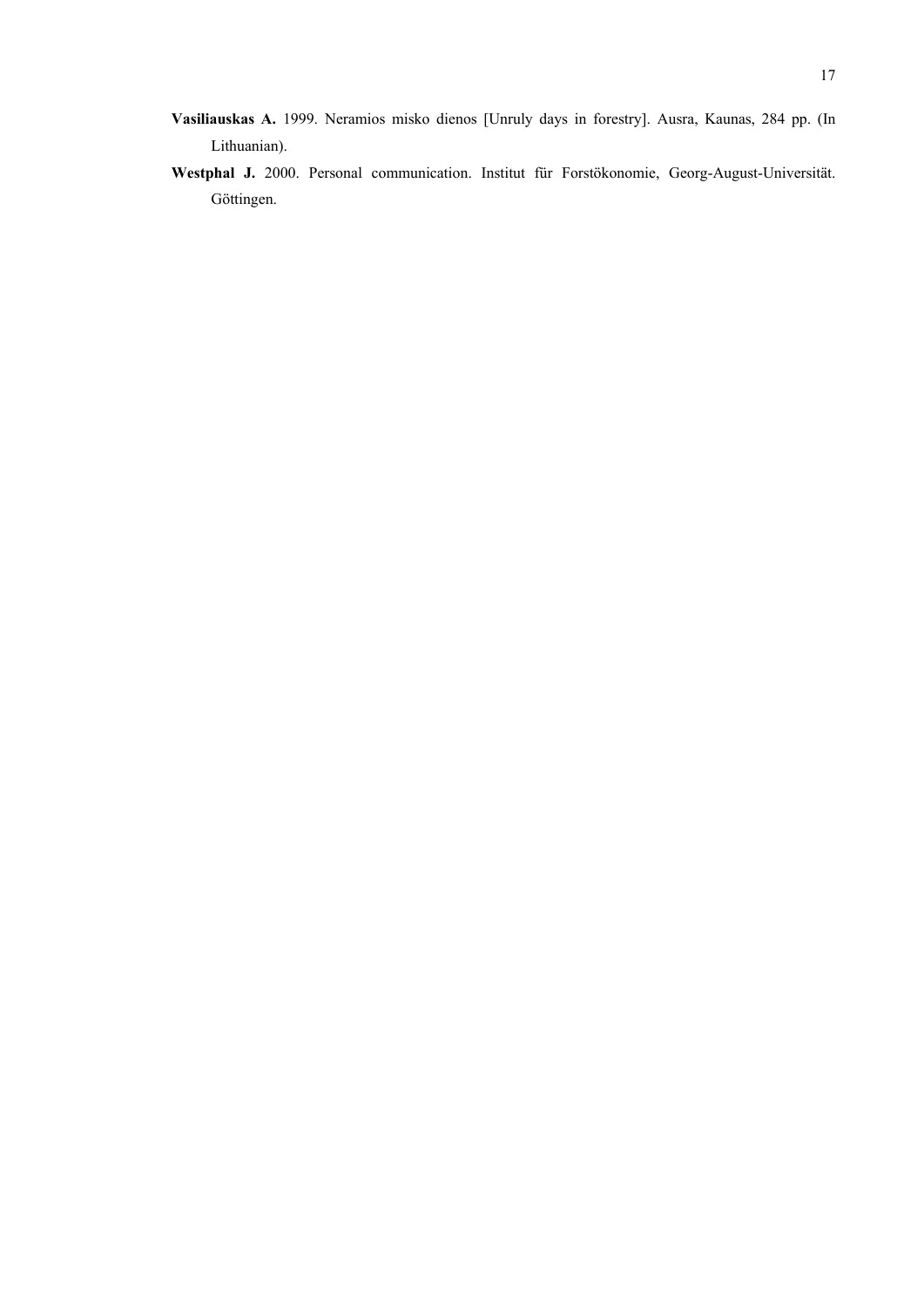- **Vasiliauskas A.** 1999. Neramios misko dienos [Unruly days in forestry]. Ausra, Kaunas, 284 pp. (In Lithuanian).
- **Westphal J.** 2000. Personal communication. Institut für Forstökonomie, Georg-August-Universität. Göttingen.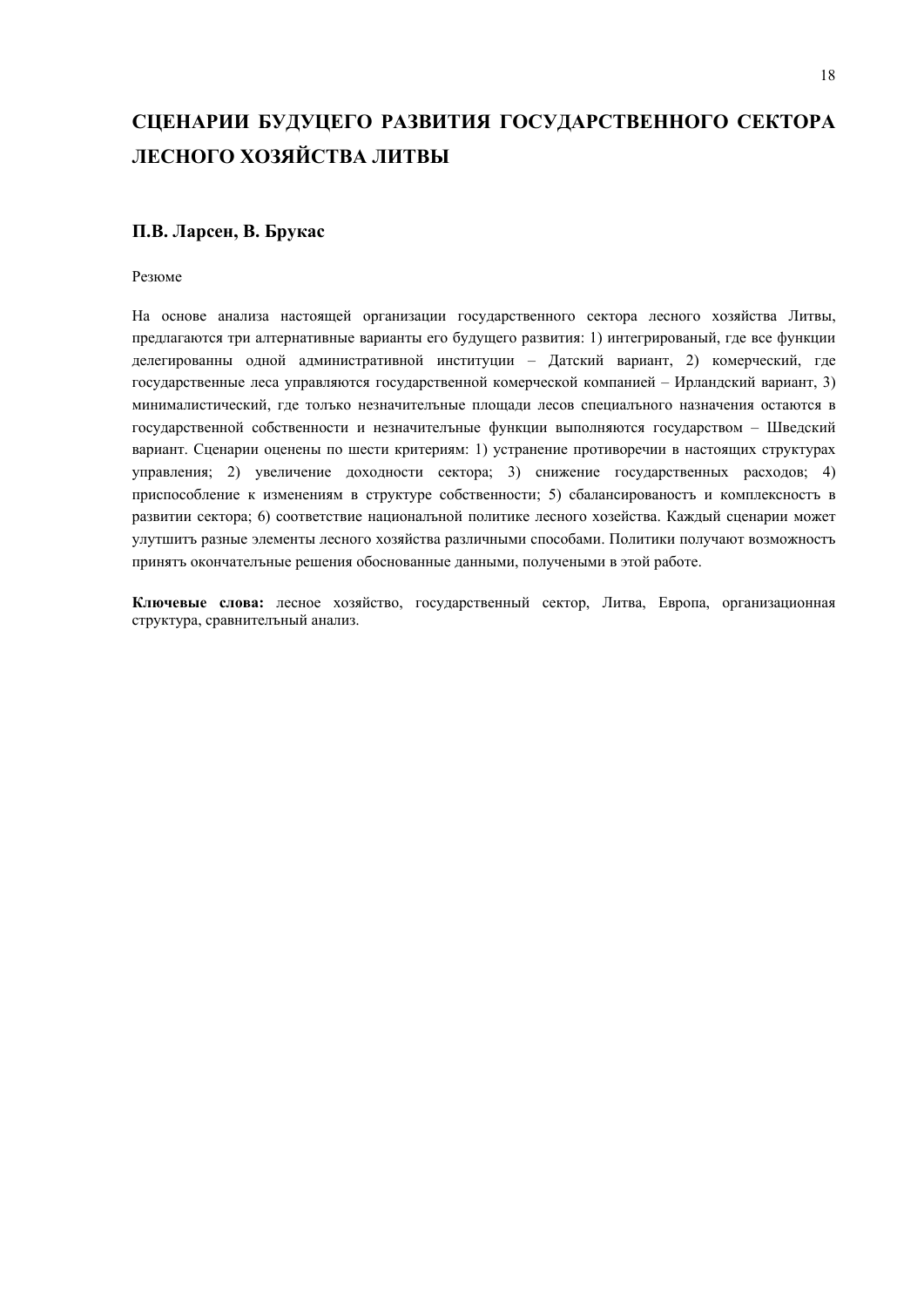# **СЦЕНАРИИ БУДУЦЕГО РАЗВИТИЯ ГОСУДАРСТВЕННОГО СЕКТОРА ЛЕСНОГО ХОЗЯЙСТВА ЛИТВЫ**

# **П.В. Ларсен, В. Брукас**

Резюме

На основе анализа настоящей организации государственного сектора лесного хозяйства Литвы, предлагаются три алтернативные варианты его будущего развития: 1) интегрированый, где все функции делегированны одной административной институции – Датский вариант, 2) комерческий, где государственные леса управляются государственной комерческой компанией – Ирландский вариант, 3) минималистический, где толъко незначителъные площади лесов специалъного назначения остаются в государственной собственности и незначителъные функции выполняются государством – Шведский вариант. Сценарии оценены по шести критериям: 1) устранение противоречии в настоящих структурах управления; 2) увеличение доходности сектора; 3) снижение государственных расходов; 4) приспособление к изменениям в структуре собственности; 5) сбалансированостъ и комплексностъ в развитии сектора; 6) соответствие националъной политике лесного хозейства. Каждый сценарии может улутшитъ разные элементы лесного хозяйства различными способами. Политики получают возможностъ принятъ окончателъные решения обоснованные данными, получеными в этой работе.

**Ключевые слова:** лесное хозяйство, государственный сектор, Литва, Европа, организационная структура, сравнителъный анализ.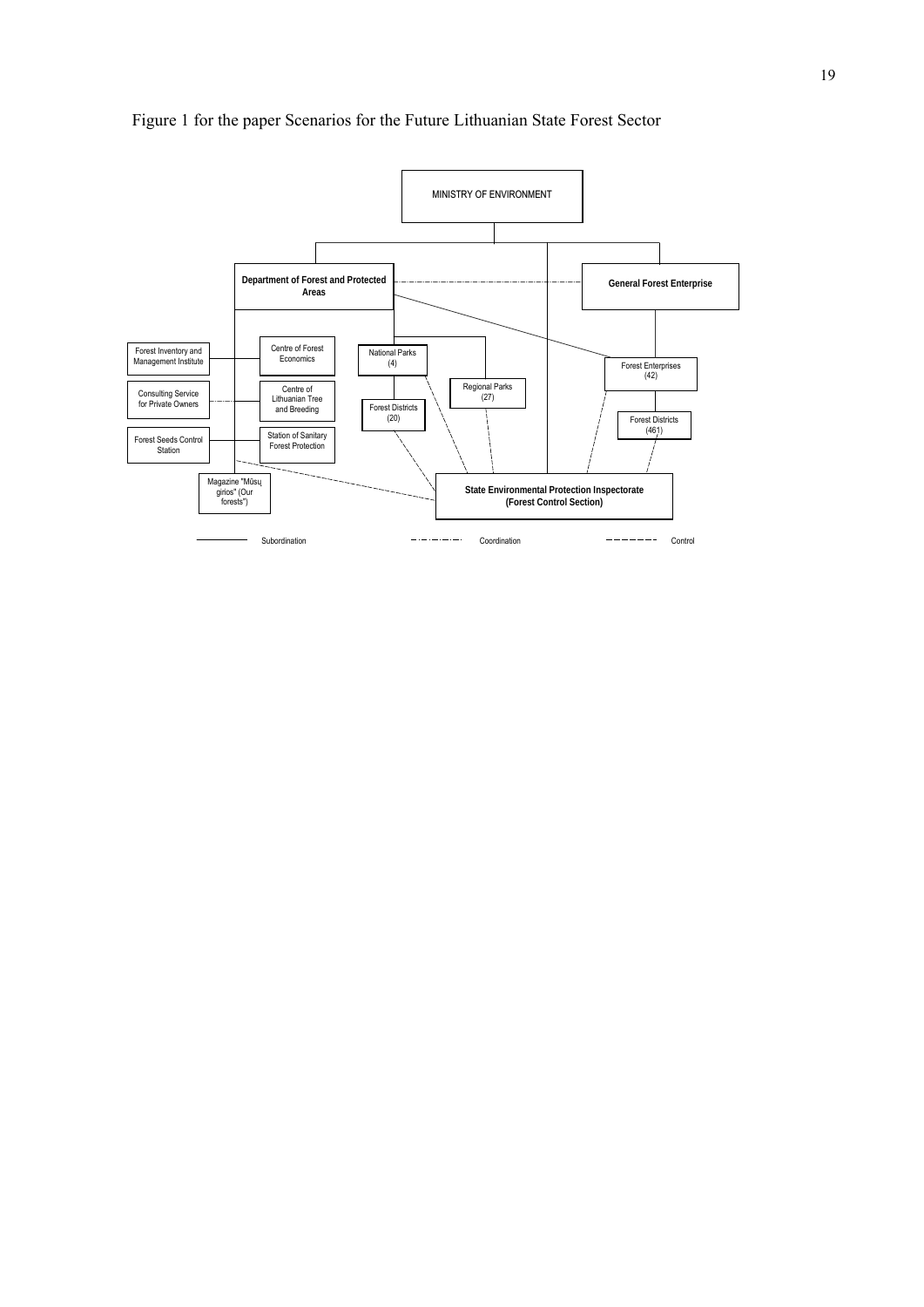

Figure 1 for the paper Scenarios for the Future Lithuanian State Forest Sector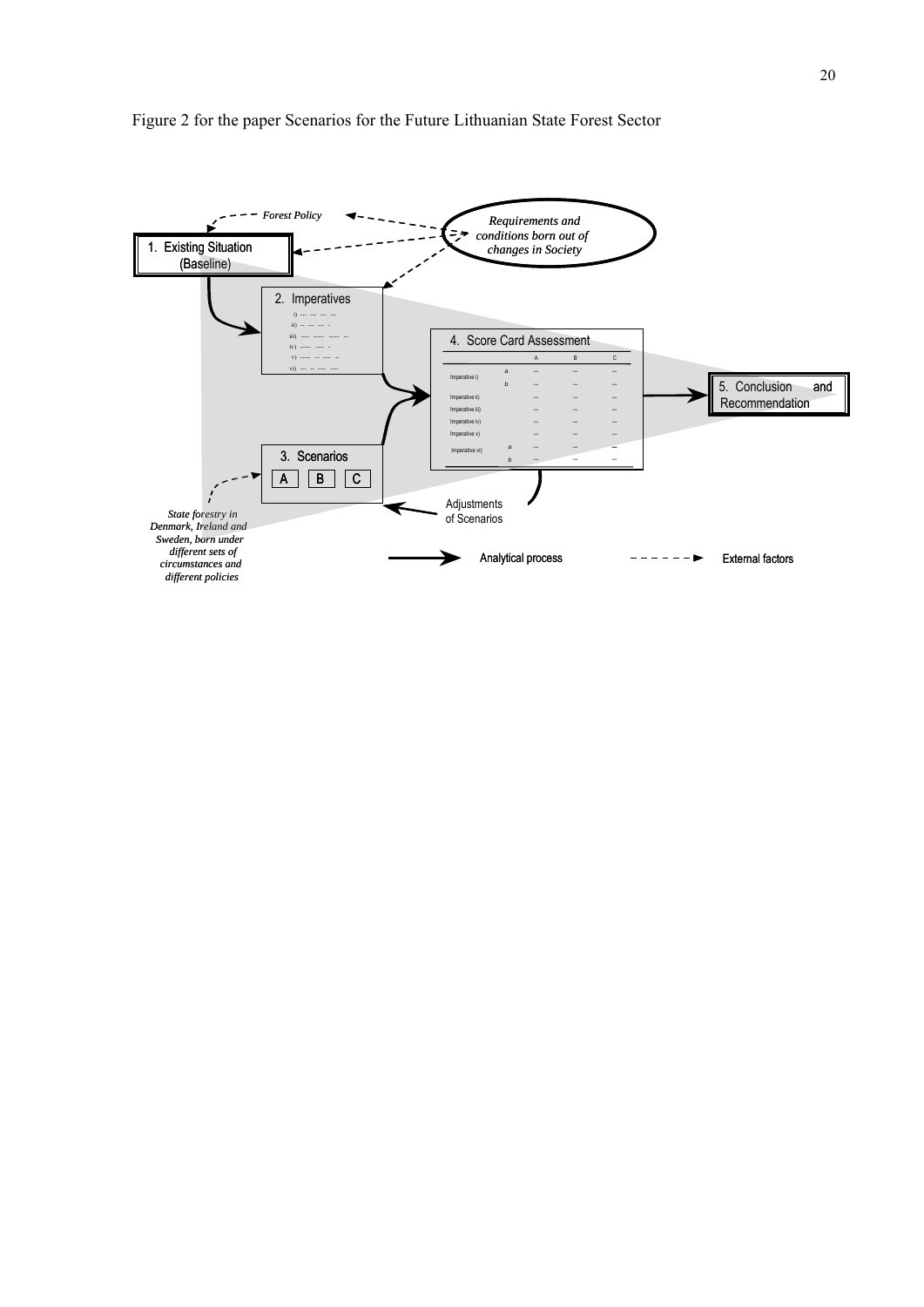

# Figure 2 for the paper Scenarios for the Future Lithuanian State Forest Sector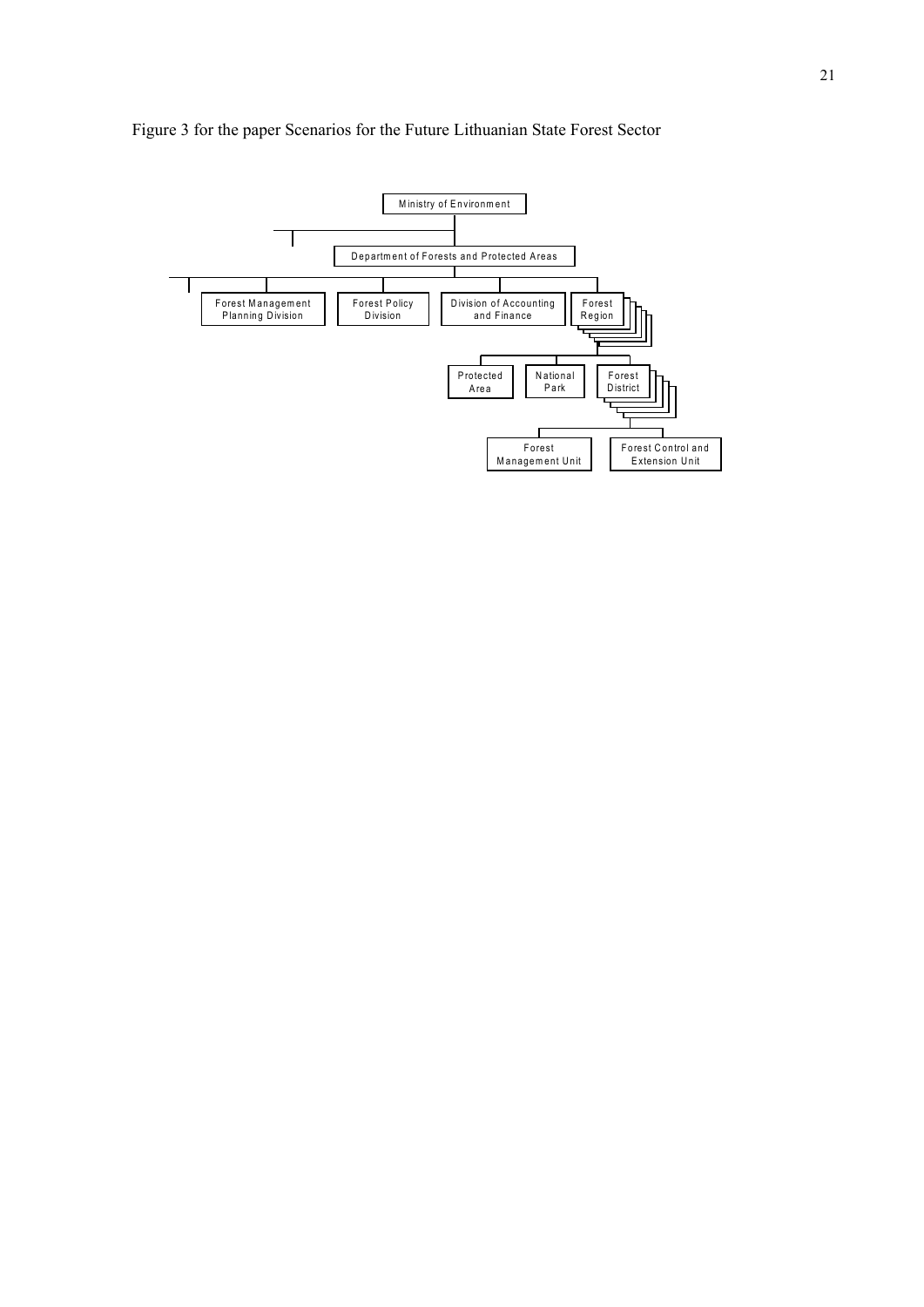

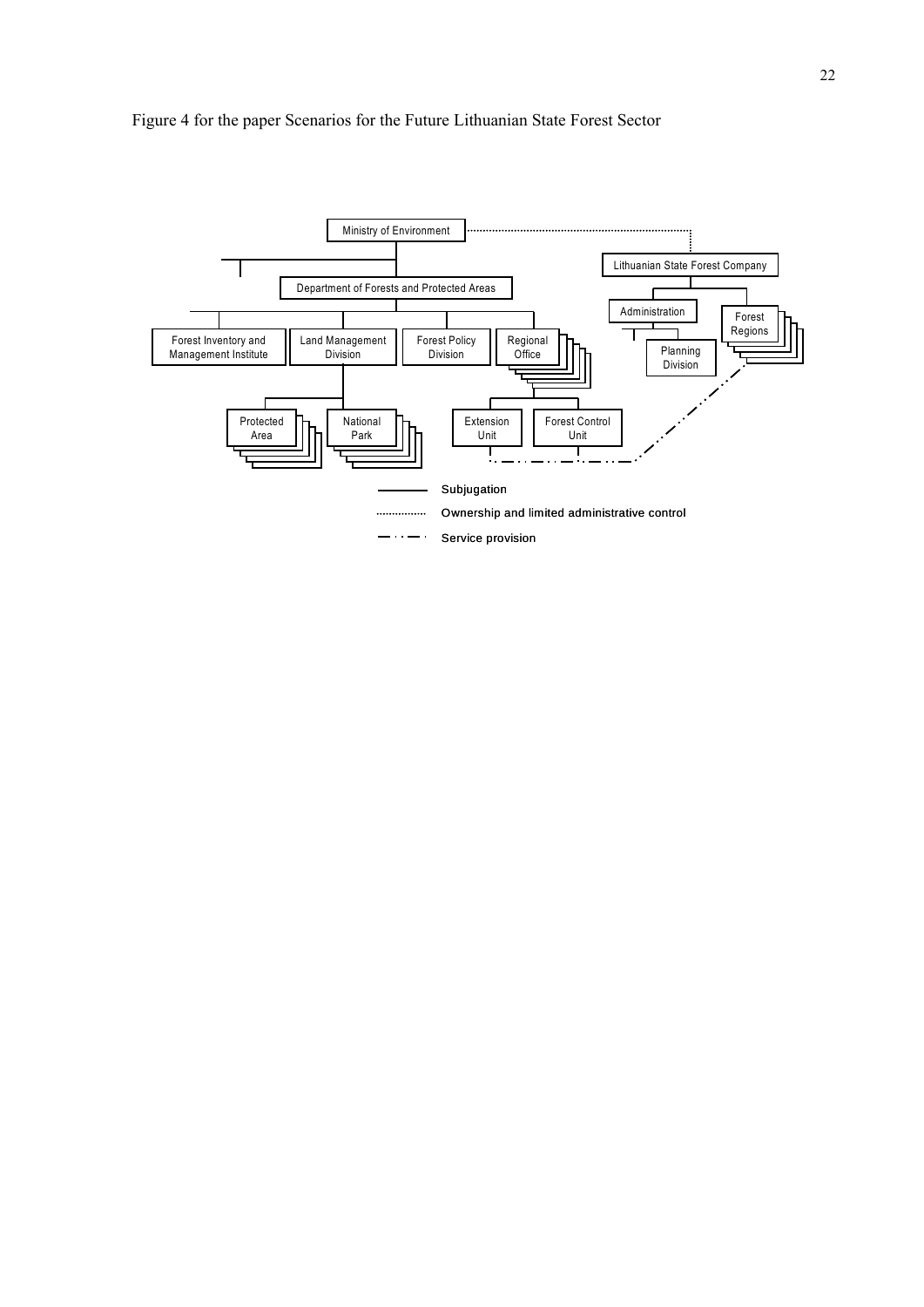

# Figure 4 for the paper Scenarios for the Future Lithuanian State Forest Sector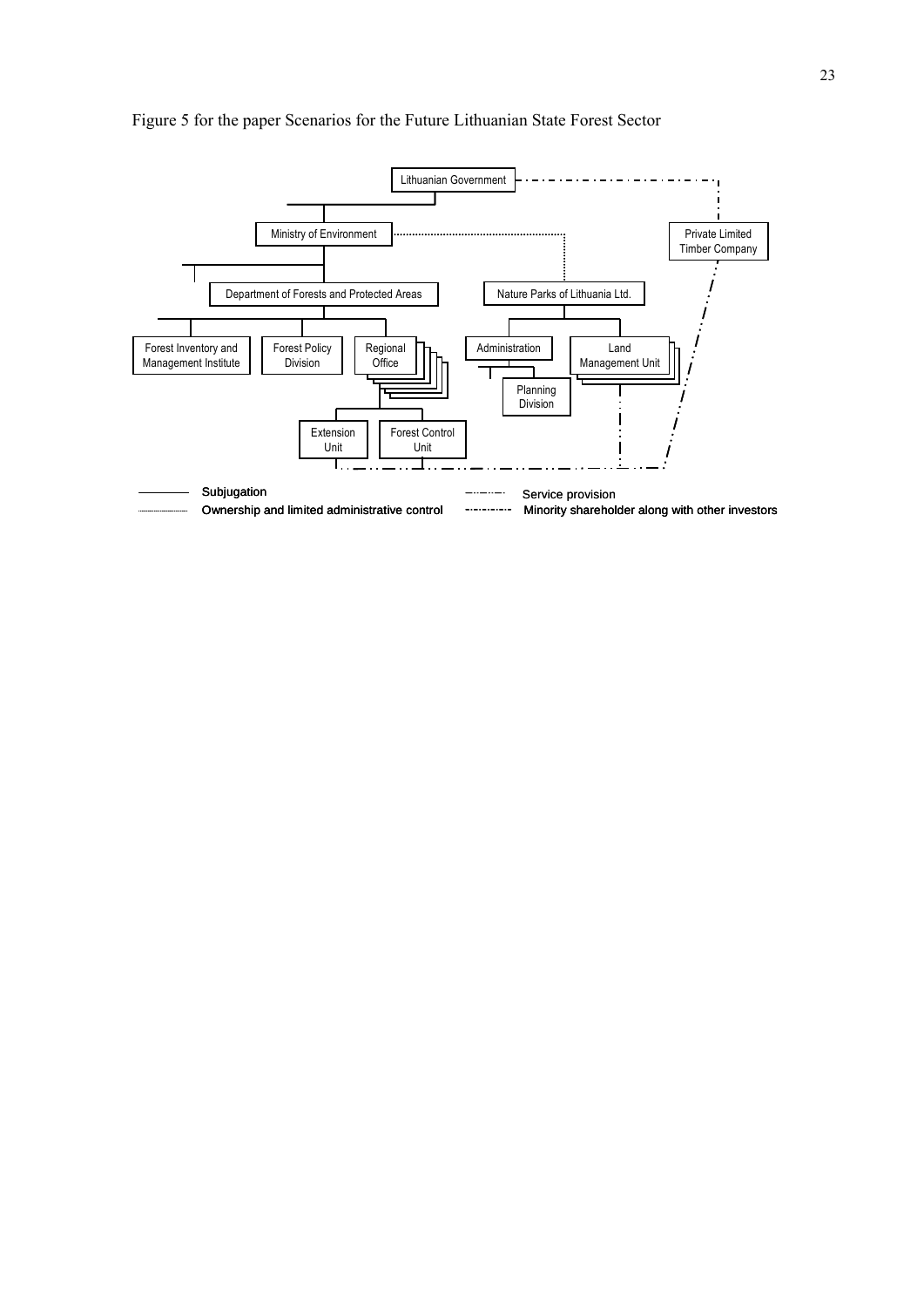

# Figure 5 for the paper Scenarios for the Future Lithuanian State Forest Sector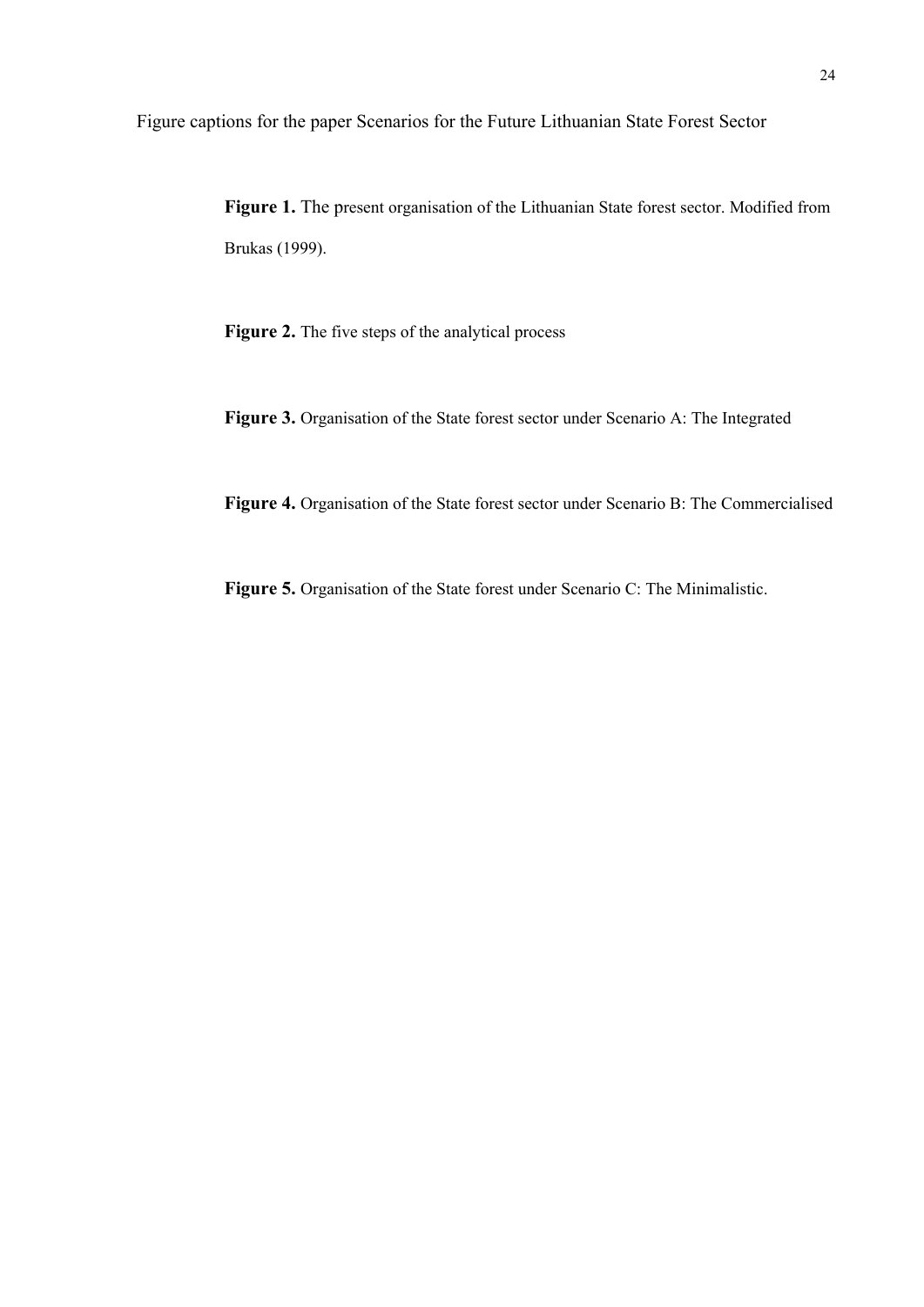Figure captions for the paper Scenarios for the Future Lithuanian State Forest Sector

**Figure 1.** The present organisation of the Lithuanian State forest sector. Modified from Brukas (1999).

**Figure 2.** The five steps of the analytical process

**Figure 3.** Organisation of the State forest sector under Scenario A: The Integrated

**Figure 4.** Organisation of the State forest sector under Scenario B: The Commercialised

**Figure 5.** Organisation of the State forest under Scenario C: The Minimalistic.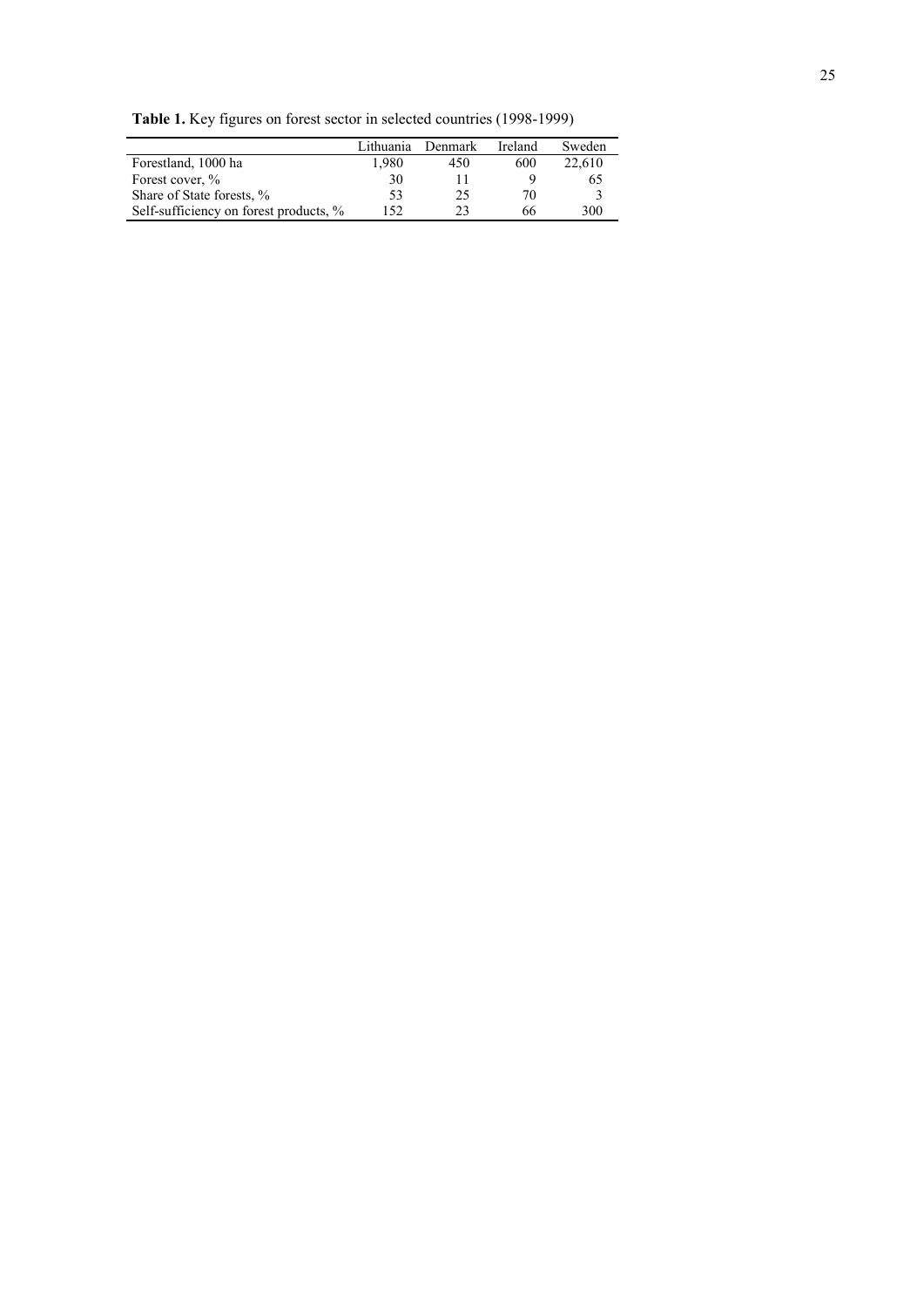**Table 1.** Key figures on forest sector in selected countries (1998-1999)

|                                        | Lithuania | Denmark | Ireland | Sweden |
|----------------------------------------|-----------|---------|---------|--------|
| Forestland, 1000 ha                    | 1.980     | 450     | 600     | 22,610 |
| Forest cover, %                        | 30        |         |         | 65     |
| Share of State forests, %              | 53        | 25      | 70.     |        |
| Self-sufficiency on forest products, % | 152       | າາ      | 66      | 300    |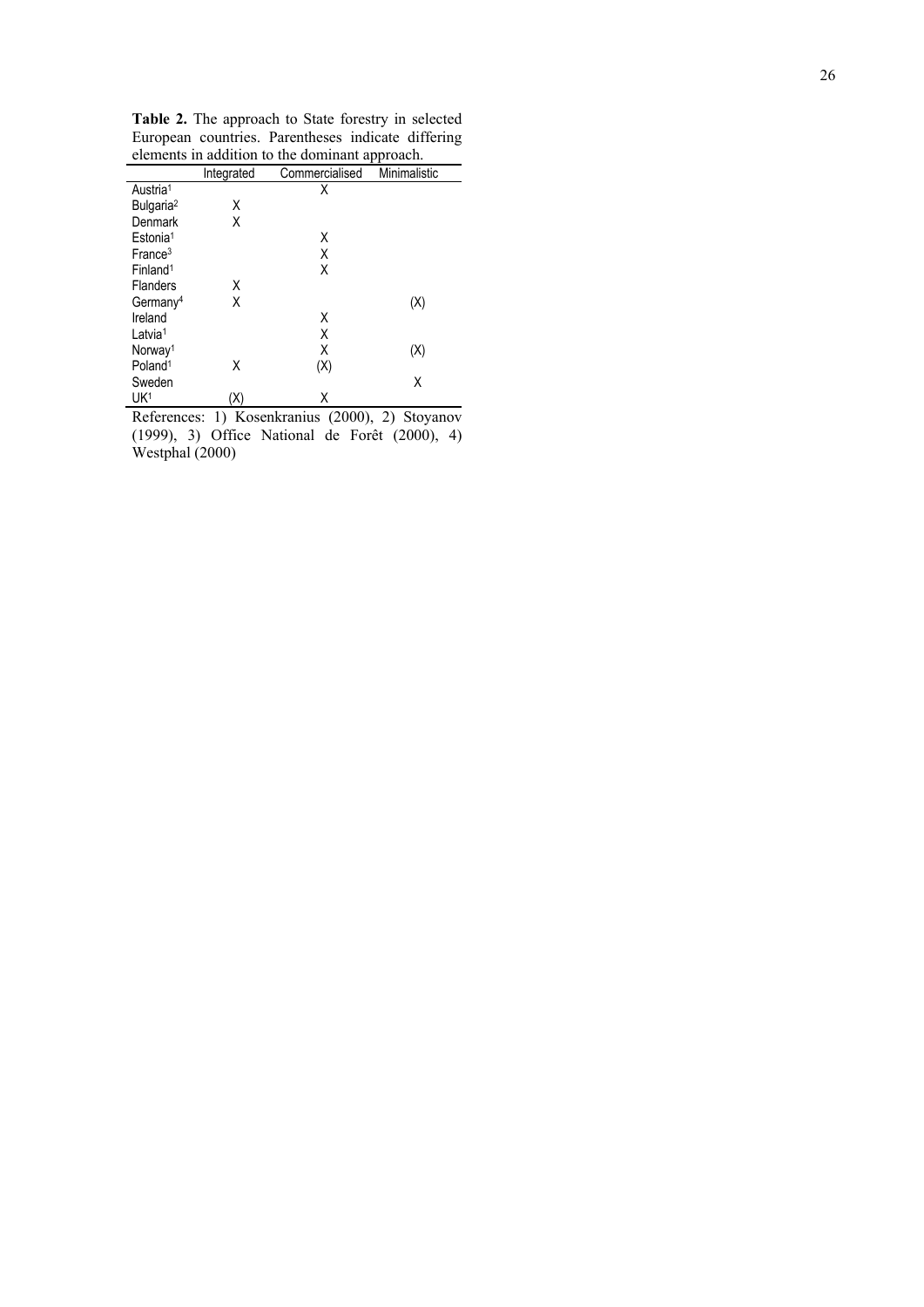| <b>Table 2.</b> The approach to State forestry in selected |  |  |  |  |  |
|------------------------------------------------------------|--|--|--|--|--|
| European countries. Parentheses indicate differing         |  |  |  |  |  |
| elements in addition to the dominant approach.             |  |  |  |  |  |

|                       | Integrated | Commercialised | Minimalistic |
|-----------------------|------------|----------------|--------------|
| Austria <sup>1</sup>  |            | Χ              |              |
| Bulgaria <sup>2</sup> | Χ          |                |              |
| Denmark               | χ          |                |              |
| Estonia <sup>1</sup>  |            | Χ              |              |
| France <sup>3</sup>   |            | Χ              |              |
| Finland <sup>1</sup>  |            | Χ              |              |
| <b>Flanders</b>       | х          |                |              |
| Germany <sup>4</sup>  | Χ          |                | (X)          |
| Ireland               |            | Χ              |              |
| Latvia <sup>1</sup>   |            | Χ              |              |
| Norway <sup>1</sup>   |            | Χ              | (X)          |
| Poland <sup>1</sup>   | χ          | (X)            |              |
| Sweden                |            |                | Χ            |
| UK <sup>1</sup>       | (X)        | Χ              |              |

References: 1) Kosenkranius (2000), 2) Stoyanov (1999), 3) Office National de Forêt (2000), 4) Westphal (2000)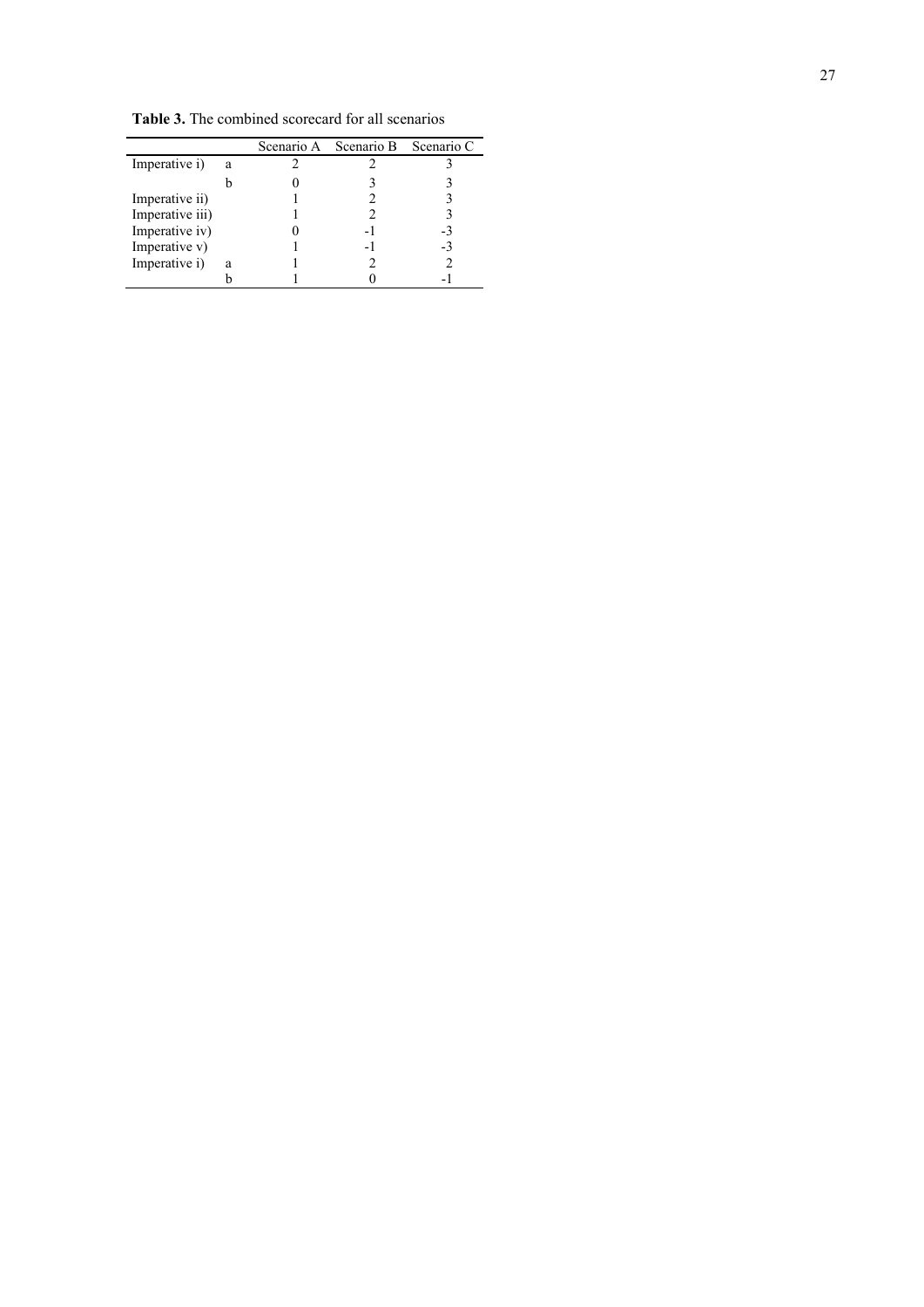|                 |   | Scenario A Scenario B Scenario C |    |
|-----------------|---|----------------------------------|----|
| Imperative i)   | a |                                  |    |
|                 |   |                                  |    |
| Imperative ii)  |   |                                  |    |
| Imperative iii) |   |                                  |    |
| Imperative iv)  |   |                                  |    |
| Imperative v)   |   | $\overline{\phantom{a}}$         | -3 |
| Imperative i)   | a |                                  |    |
|                 |   |                                  |    |

**Table 3.** The combined scorecard for all scenarios